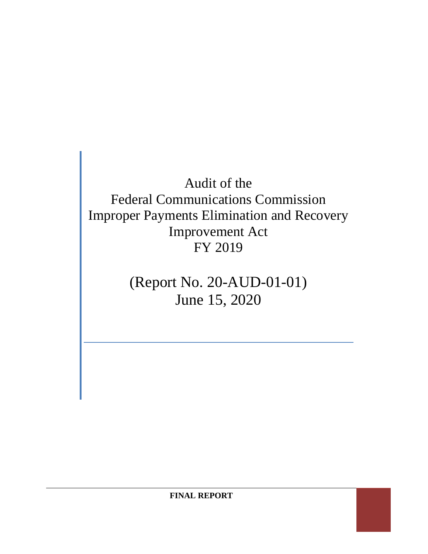# Audit of the Federal Communications Commission Improper Payments Elimination and Recovery Improvement Act FY 2019

(Report No. 20-AUD-01-01) June 15, 2020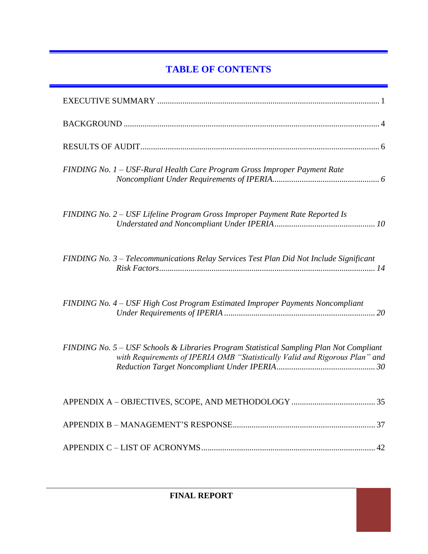# **TABLE OF CONTENTS**

| FINDING No. 1 - USF-Rural Health Care Program Gross Improper Payment Rate                                                                                              |
|------------------------------------------------------------------------------------------------------------------------------------------------------------------------|
| FINDING No. 2 - USF Lifeline Program Gross Improper Payment Rate Reported Is                                                                                           |
| FINDING No. 3 - Telecommunications Relay Services Test Plan Did Not Include Significant                                                                                |
| FINDING No. 4 - USF High Cost Program Estimated Improper Payments Noncompliant                                                                                         |
| FINDING No. 5 - USF Schools & Libraries Program Statistical Sampling Plan Not Compliant<br>with Requirements of IPERIA OMB "Statistically Valid and Rigorous Plan" and |
|                                                                                                                                                                        |
|                                                                                                                                                                        |
|                                                                                                                                                                        |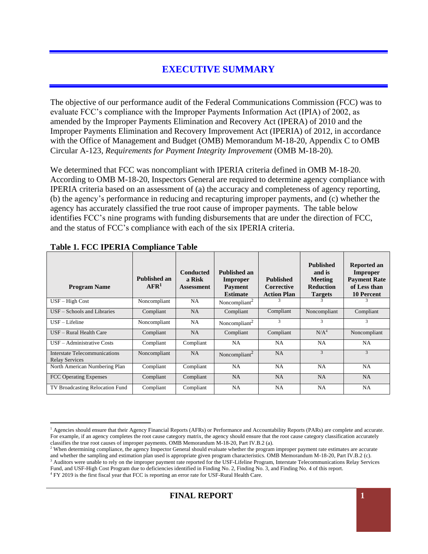# **EXECUTIVE SUMMARY**

The objective of our performance audit of the Federal Communications Commission (FCC) was to evaluate FCC's compliance with the Improper Payments Information Act (IPIA) of 2002, as amended by the Improper Payments Elimination and Recovery Act (IPERA) of 2010 and the Improper Payments Elimination and Recovery Improvement Act (IPERIA) of 2012, in accordance with the Office of Management and Budget (OMB) Memorandum M-18-20, Appendix C to OMB Circular A-123, *Requirements for Payment Integrity Improvement* (OMB M-18-20)*.*

We determined that FCC was noncompliant with IPERIA criteria defined in OMB M-18-20. According to OMB M-18-20, Inspectors General are required to determine agency compliance with IPERIA criteria based on an assessment of (a) the accuracy and completeness of agency reporting, (b) the agency's performance in reducing and recapturing improper payments, and (c) whether the agency has accurately classified the true root cause of improper payments. The table below identifies FCC's nine programs with funding disbursements that are under the direction of FCC, and the status of FCC's compliance with each of the six IPERIA criteria.

| Tuble 1. I CC 11 ERM I Comphance Tuble                        |                             |                                                 |                                                               |                                                      |                                                                                    |                                                                                            |
|---------------------------------------------------------------|-----------------------------|-------------------------------------------------|---------------------------------------------------------------|------------------------------------------------------|------------------------------------------------------------------------------------|--------------------------------------------------------------------------------------------|
| <b>Program Name</b>                                           | Published an<br>$\bf AFR^1$ | <b>Conducted</b><br>a Risk<br><b>Assessment</b> | Published an<br>Improper<br><b>Payment</b><br><b>Estimate</b> | <b>Published</b><br>Corrective<br><b>Action Plan</b> | <b>Published</b><br>and is<br><b>Meeting</b><br><b>Reduction</b><br><b>Targets</b> | Reported an<br><b>Improper</b><br><b>Payment Rate</b><br>of Less than<br><b>10 Percent</b> |
| $USF - High Cost$                                             | Noncompliant                | NA                                              | Noncompliant <sup>2</sup>                                     |                                                      | 3                                                                                  |                                                                                            |
| USF – Schools and Libraries                                   | Compliant                   | NA                                              | Compliant                                                     | Compliant                                            | Noncompliant                                                                       | Compliant                                                                                  |
| $USF-Lifeline$                                                | Noncompliant                | NA                                              | Noncompliant <sup>2</sup>                                     | 3                                                    | 3                                                                                  | 3                                                                                          |
| USF - Rural Health Care                                       | Compliant                   | NA                                              | Compliant                                                     | Compliant                                            | N/A <sup>4</sup>                                                                   | Noncompliant                                                                               |
| USF - Administrative Costs                                    | Compliant                   | Compliant                                       | <b>NA</b>                                                     | <b>NA</b>                                            | NA                                                                                 | <b>NA</b>                                                                                  |
| <b>Interstate Telecommunications</b><br><b>Relay Services</b> | Noncompliant                | NA                                              | Noncompliant <sup>2</sup>                                     | NA                                                   | $\overline{3}$                                                                     | 3                                                                                          |
| North American Numbering Plan                                 | Compliant                   | Compliant                                       | NA.                                                           | <b>NA</b>                                            | <b>NA</b>                                                                          | <b>NA</b>                                                                                  |
| FCC Operating Expenses                                        | Compliant                   | Compliant                                       | <b>NA</b>                                                     | <b>NA</b>                                            | <b>NA</b>                                                                          | <b>NA</b>                                                                                  |
| TV Broadcasting Relocation Fund                               | Compliant                   | Compliant                                       | NA                                                            | <b>NA</b>                                            | <b>NA</b>                                                                          | NA                                                                                         |

#### **Table 1. FCC IPERIA Compliance Table**

<sup>&</sup>lt;sup>1</sup> Agencies should ensure that their Agency Financial Reports (AFRs) or Performance and Accountability Reports (PARs) are complete and accurate. For example, if an agency completes the root cause category matrix, the agency should ensure that the root cause category classification accurately classifies the true root causes of improper payments. OMB Memorandum M-18-20, Part IV.B.2 (a).

<sup>&</sup>lt;sup>2</sup> When determining compliance, the agency Inspector General should evaluate whether the program improper payment rate estimates are accurate and whether the sampling and estimation plan used is appropriate given program characteristics. OMB Memorandum M-18-20, Part IV.B.2 (c). <sup>3</sup> Auditors were unable to rely on the improper payment rate reported for the USF-Lifeline Program, Interstate Telecommunications Relay Services Fund, and USF-High Cost Program due to deficiencies identified in Finding No. 2, Finding No. 3, and Finding No. 4 of this report. <sup>4</sup> FY 2019 is the first fiscal year that FCC is reporting an error rate for USF-Rural Health Care.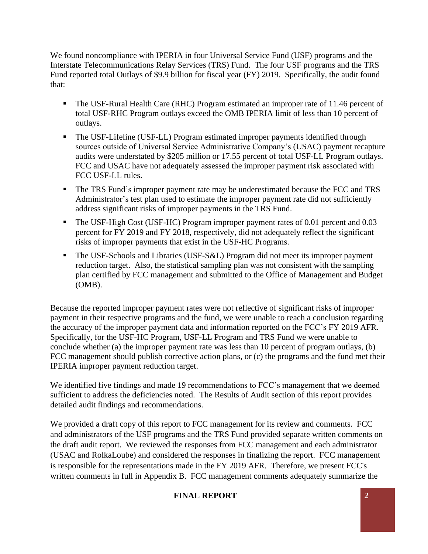We found noncompliance with IPERIA in four Universal Service Fund (USF) programs and the Interstate Telecommunications Relay Services (TRS) Fund. The four USF programs and the TRS Fund reported total Outlays of \$9.9 billion for fiscal year (FY) 2019. Specifically, the audit found that:

- The USF-Rural Health Care (RHC) Program estimated an improper rate of 11.46 percent of total USF-RHC Program outlays exceed the OMB IPERIA limit of less than 10 percent of outlays.
- The USF-Lifeline (USF-LL) Program estimated improper payments identified through sources outside of Universal Service Administrative Company's (USAC) payment recapture audits were understated by \$205 million or 17.55 percent of total USF-LL Program outlays. FCC and USAC have not adequately assessed the improper payment risk associated with FCC USF-LL rules.
- **The TRS Fund's improper payment rate may be underestimated because the FCC and TRS** Administrator's test plan used to estimate the improper payment rate did not sufficiently address significant risks of improper payments in the TRS Fund.
- The USF-High Cost (USF-HC) Program improper payment rates of 0.01 percent and 0.03 percent for FY 2019 and FY 2018, respectively, did not adequately reflect the significant risks of improper payments that exist in the USF-HC Programs.
- The USF-Schools and Libraries (USF-S&L) Program did not meet its improper payment reduction target. Also, the statistical sampling plan was not consistent with the sampling plan certified by FCC management and submitted to the Office of Management and Budget (OMB).

Because the reported improper payment rates were not reflective of significant risks of improper payment in their respective programs and the fund, we were unable to reach a conclusion regarding the accuracy of the improper payment data and information reported on the FCC's FY 2019 AFR. Specifically, for the USF-HC Program, USF-LL Program and TRS Fund we were unable to conclude whether (a) the improper payment rate was less than 10 percent of program outlays, (b) FCC management should publish corrective action plans, or (c) the programs and the fund met their IPERIA improper payment reduction target.

We identified five findings and made 19 recommendations to FCC's management that we deemed sufficient to address the deficiencies noted. The Results of Audit section of this report provides detailed audit findings and recommendations.

We provided a draft copy of this report to FCC management for its review and comments. FCC and administrators of the USF programs and the TRS Fund provided separate written comments on the draft audit report. We reviewed the responses from FCC management and each administrator (USAC and RolkaLoube) and considered the responses in finalizing the report. FCC management is responsible for the representations made in the FY 2019 AFR. Therefore, we present FCC's written comments in full in Appendix B. FCC management comments adequately summarize the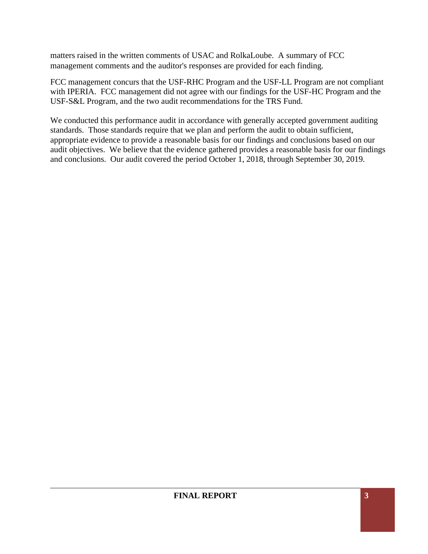matters raised in the written comments of USAC and RolkaLoube. A summary of FCC management comments and the auditor's responses are provided for each finding.

FCC management concurs that the USF-RHC Program and the USF-LL Program are not compliant with IPERIA. FCC management did not agree with our findings for the USF-HC Program and the USF-S&L Program, and the two audit recommendations for the TRS Fund.

We conducted this performance audit in accordance with generally accepted government auditing standards. Those standards require that we plan and perform the audit to obtain sufficient, appropriate evidence to provide a reasonable basis for our findings and conclusions based on our audit objectives. We believe that the evidence gathered provides a reasonable basis for our findings and conclusions. Our audit covered the period October 1, 2018, through September 30, 2019.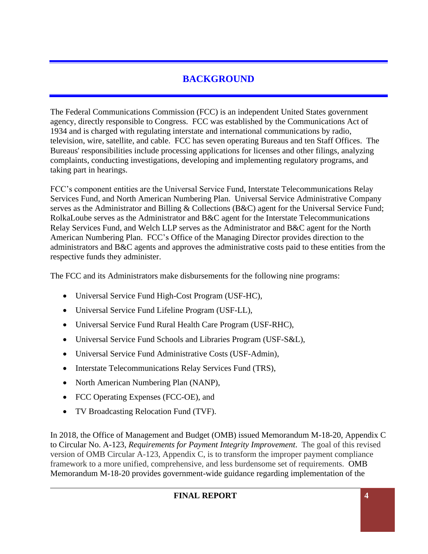# **BACKGROUND**

The Federal Communications Commission (FCC) is an independent United States government agency, directly responsible to Congress. FCC was established by the Communications Act of 1934 and is charged with regulating interstate and international communications by radio, television, wire, satellite, and cable. FCC has seven operating Bureaus and ten Staff Offices. The Bureaus' responsibilities include processing applications for licenses and other filings, analyzing complaints, conducting investigations, developing and implementing regulatory programs, and taking part in hearings.

FCC's component entities are the Universal Service Fund, Interstate Telecommunications Relay Services Fund, and North American Numbering Plan. Universal Service Administrative Company serves as the Administrator and Billing & Collections (B&C) agent for the Universal Service Fund; RolkaLoube serves as the Administrator and B&C agent for the Interstate Telecommunications Relay Services Fund, and Welch LLP serves as the Administrator and B&C agent for the North American Numbering Plan. FCC's Office of the Managing Director provides direction to the administrators and B&C agents and approves the administrative costs paid to these entities from the respective funds they administer.

The FCC and its Administrators make disbursements for the following nine programs:

- Universal Service Fund High-Cost Program (USF-HC),
- Universal Service Fund Lifeline Program (USF-LL),
- Universal Service Fund Rural Health Care Program (USF-RHC),
- Universal Service Fund Schools and Libraries Program (USF-S&L),
- Universal Service Fund Administrative Costs (USF-Admin),
- Interstate Telecommunications Relay Services Fund (TRS),
- North American Numbering Plan (NANP),
- FCC Operating Expenses (FCC-OE), and
- TV Broadcasting Relocation Fund (TVF).

In 2018, the Office of Management and Budget (OMB) issued Memorandum M-18-20, Appendix C to Circular No. A-123, *Requirements for Payment Integrity Improvement*. The goal of this revised version of OMB Circular A-123, Appendix C, is to transform the improper payment compliance framework to a more unified, comprehensive, and less burdensome set of requirements. OMB Memorandum M-18-20 provides government-wide guidance regarding implementation of the

#### **FINAL REPORT 4**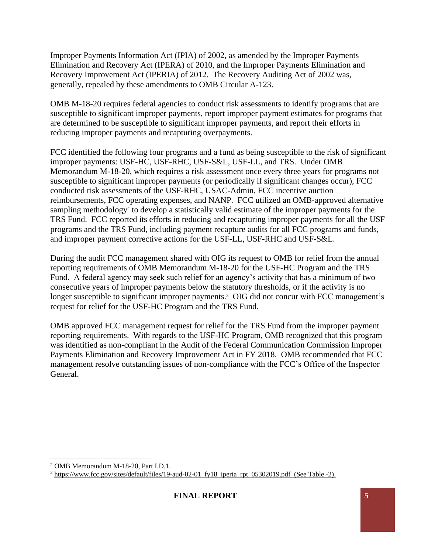Improper Payments Information Act (IPIA) of 2002, as amended by the Improper Payments Elimination and Recovery Act (IPERA) of 2010, and the Improper Payments Elimination and Recovery Improvement Act (IPERIA) of 2012. The Recovery Auditing Act of 2002 was, generally, repealed by these amendments to OMB Circular A-123.

OMB M-18-20 requires federal agencies to conduct risk assessments to identify programs that are susceptible to significant improper payments, report improper payment estimates for programs that are determined to be susceptible to significant improper payments, and report their efforts in reducing improper payments and recapturing overpayments.

FCC identified the following four programs and a fund as being susceptible to the risk of significant improper payments: USF-HC, USF-RHC, USF-S&L, USF-LL, and TRS. Under OMB Memorandum M-18-20, which requires a risk assessment once every three years for programs not susceptible to significant improper payments (or periodically if significant changes occur), FCC conducted risk assessments of the USF-RHC, USAC-Admin, FCC incentive auction reimbursements, FCC operating expenses, and NANP. FCC utilized an OMB-approved alternative sampling methodology<sup>2</sup> to develop a statistically valid estimate of the improper payments for the TRS Fund. FCC reported its efforts in reducing and recapturing improper payments for all the USF programs and the TRS Fund, including payment recapture audits for all FCC programs and funds, and improper payment corrective actions for the USF-LL, USF-RHC and USF-S&L.

During the audit FCC management shared with OIG its request to OMB for relief from the annual reporting requirements of OMB Memorandum M-18-20 for the USF-HC Program and the TRS Fund. A federal agency may seek such relief for an agency's activity that has a minimum of two consecutive years of improper payments below the statutory thresholds, or if the activity is no longer susceptible to significant improper payments.<sup>3</sup> OIG did not concur with FCC management's request for relief for the USF-HC Program and the TRS Fund.

OMB approved FCC management request for relief for the TRS Fund from the improper payment reporting requirements. With regards to the USF-HC Program, OMB recognized that this program was identified as non-compliant in the Audit of the Federal Communication Commission Improper Payments Elimination and Recovery Improvement Act in FY 2018. OMB recommended that FCC management resolve outstanding issues of non-compliance with the FCC's Office of the Inspector General.

<sup>2</sup> OMB Memorandum M-18-20, Part I.D.1.

<sup>&</sup>lt;sup>3</sup> https://www.fcc.gov/sites/default/files/19-aud-02-01 fy18 iperia rpt 05302019.pdf (See Table -2).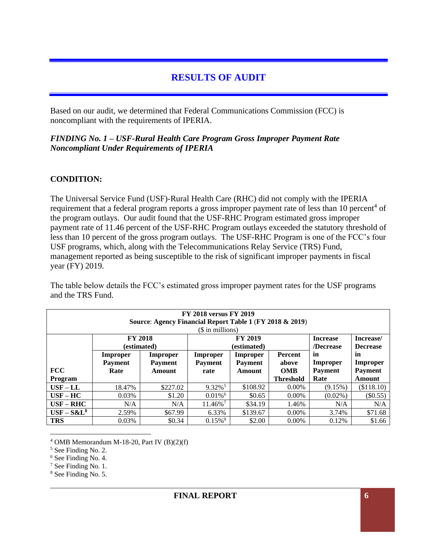# **RESULTS OF AUDIT**

Based on our audit, we determined that Federal Communications Commission (FCC) is noncompliant with the requirements of IPERIA.

#### *FINDING No. 1 – USF-Rural Health Care Program Gross Improper Payment Rate Noncompliant Under Requirements of IPERIA*

#### **CONDITION:**

The Universal Service Fund (USF)-Rural Health Care (RHC) did not comply with the IPERIA requirement that a federal program reports a gross improper payment rate of less than 10 percent<sup>4</sup> of the program outlays. Our audit found that the USF-RHC Program estimated gross improper payment rate of 11.46 percent of the USF-RHC Program outlays exceeded the statutory threshold of less than 10 percent of the gross program outlays. The USF-RHC Program is one of the FCC's four USF programs, which, along with the Telecommunications Relay Service (TRS) Fund, management reported as being susceptible to the risk of significant improper payments in fiscal year (FY) 2019.

The table below details the FCC's estimated gross improper payment rates for the USF programs and the TRS Fund.

| <b>FY 2018 versus FY 2019</b><br>Source: Agency Financial Report Table 1 (FY 2018 & 2019) |                 |                |                       |                |                  |                 |                 |
|-------------------------------------------------------------------------------------------|-----------------|----------------|-----------------------|----------------|------------------|-----------------|-----------------|
| (\$ in millions)                                                                          |                 |                |                       |                |                  |                 |                 |
|                                                                                           | <b>FY 2018</b>  |                |                       | <b>FY 2019</b> | <b>Increase</b>  | Increase/       |                 |
|                                                                                           | (estimated)     |                |                       | (estimated)    |                  | /Decrease       | <b>Decrease</b> |
|                                                                                           | <b>Improper</b> | Improper       | Improper              | Improper       | Percent          | in              | in              |
|                                                                                           | <b>Payment</b>  | <b>Payment</b> | <b>Payment</b>        | <b>Payment</b> | above            | <b>Improper</b> | Improper        |
| <b>FCC</b>                                                                                | Rate            | <b>Amount</b>  | rate                  | Amount         | <b>OMB</b>       | <b>Payment</b>  | <b>Payment</b>  |
| Program                                                                                   |                 |                |                       |                | <b>Threshold</b> | Rate            | Amount          |
| $USF-LL$                                                                                  | 18.47%          | \$227.02       | $9.32\%$ <sup>5</sup> | \$108.92       | $0.00\%$         | (9.15%)         | (\$118.10)      |
| $USF-HC$                                                                                  | 0.03%           | \$1.20         | $0.01\%$ <sup>6</sup> | \$0.65         | $0.00\%$         | $(0.02\%)$      | $(\$0.55)$      |
| $USF - RHC$                                                                               | N/A             | N/A            | 11.46%7               | \$34.19        | 1.46%            | N/A             | N/A             |
| $USF - S\&L^8$                                                                            | 2.59%           | \$67.99        | 6.33%                 | \$139.67       | $0.00\%$         | 3.74%           | \$71.68         |
| <b>TRS</b>                                                                                | $0.03\%$        | \$0.34         | $0.15\%$ <sup>9</sup> | \$2.00         | $0.00\%$         | 0.12%           | \$1.66          |

 $4$  OMB Memorandum M-18-20, Part IV (B)(2)(f)

8 See Finding No. 5.

<sup>5</sup> See Finding No. 2.

<sup>6</sup> See Finding No. 4.

<sup>7</sup> See Finding No. 1.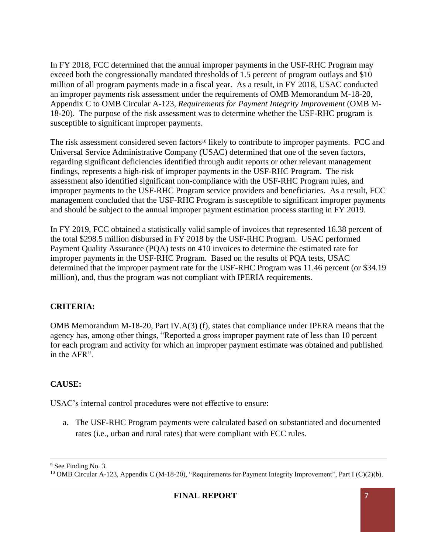In FY 2018, FCC determined that the annual improper payments in the USF-RHC Program may exceed both the congressionally mandated thresholds of 1.5 percent of program outlays and \$10 million of all program payments made in a fiscal year. As a result, in FY 2018, USAC conducted an improper payments risk assessment under the requirements of OMB Memorandum M-18-20, Appendix C to OMB Circular A-123, *Requirements for Payment Integrity Improvement* (OMB M-18-20). The purpose of the risk assessment was to determine whether the USF-RHC program is susceptible to significant improper payments.

The risk assessment considered seven factors<sup>10</sup> likely to contribute to improper payments. FCC and Universal Service Administrative Company (USAC) determined that one of the seven factors, regarding significant deficiencies identified through audit reports or other relevant management findings, represents a high-risk of improper payments in the USF-RHC Program. The risk assessment also identified significant non-compliance with the USF-RHC Program rules, and improper payments to the USF-RHC Program service providers and beneficiaries. As a result, FCC management concluded that the USF-RHC Program is susceptible to significant improper payments and should be subject to the annual improper payment estimation process starting in FY 2019.

In FY 2019, FCC obtained a statistically valid sample of invoices that represented 16.38 percent of the total \$298.5 million disbursed in FY 2018 by the USF-RHC Program. USAC performed Payment Quality Assurance (PQA) tests on 410 invoices to determine the estimated rate for improper payments in the USF-RHC Program. Based on the results of PQA tests, USAC determined that the improper payment rate for the USF-RHC Program was 11.46 percent (or \$34.19 million), and, thus the program was not compliant with IPERIA requirements.

# **CRITERIA:**

OMB Memorandum M-18-20, Part IV.A(3) (f), states that compliance under IPERA means that the agency has, among other things, "Reported a gross improper payment rate of less than 10 percent for each program and activity for which an improper payment estimate was obtained and published in the AFR".

# **CAUSE:**

USAC's internal control procedures were not effective to ensure:

a. The USF-RHC Program payments were calculated based on substantiated and documented rates (i.e., urban and rural rates) that were compliant with FCC rules.

<sup>&</sup>lt;sup>9</sup> See Finding No. 3.

<sup>&</sup>lt;sup>10</sup> OMB Circular A-123, Appendix C (M-18-20), "Requirements for Payment Integrity Improvement", Part I (C)(2)(b).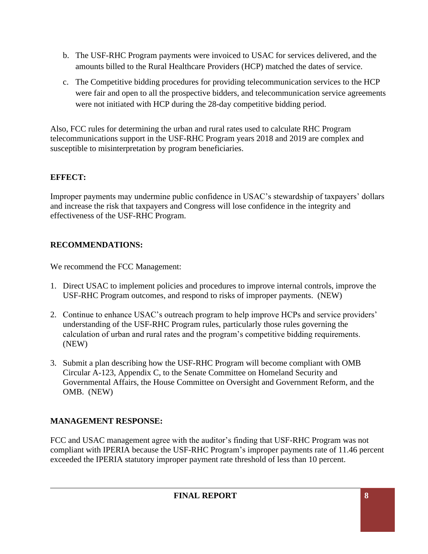- b. The USF-RHC Program payments were invoiced to USAC for services delivered, and the amounts billed to the Rural Healthcare Providers (HCP) matched the dates of service.
- c. The Competitive bidding procedures for providing telecommunication services to the HCP were fair and open to all the prospective bidders, and telecommunication service agreements were not initiated with HCP during the 28-day competitive bidding period.

Also, FCC rules for determining the urban and rural rates used to calculate RHC Program telecommunications support in the USF-RHC Program years 2018 and 2019 are complex and susceptible to misinterpretation by program beneficiaries.

# **EFFECT:**

Improper payments may undermine public confidence in USAC's stewardship of taxpayers' dollars and increase the risk that taxpayers and Congress will lose confidence in the integrity and effectiveness of the USF-RHC Program.

# **RECOMMENDATIONS:**

We recommend the FCC Management:

- 1. Direct USAC to implement policies and procedures to improve internal controls, improve the USF-RHC Program outcomes, and respond to risks of improper payments. (NEW)
- 2. Continue to enhance USAC's outreach program to help improve HCPs and service providers' understanding of the USF-RHC Program rules, particularly those rules governing the calculation of urban and rural rates and the program's competitive bidding requirements. (NEW)
- 3. Submit a plan describing how the USF-RHC Program will become compliant with OMB Circular A-123, Appendix C, to the Senate Committee on Homeland Security and Governmental Affairs, the House Committee on Oversight and Government Reform, and the OMB. (NEW)

# **MANAGEMENT RESPONSE:**

FCC and USAC management agree with the auditor's finding that USF-RHC Program was not compliant with IPERIA because the USF-RHC Program's improper payments rate of 11.46 percent exceeded the IPERIA statutory improper payment rate threshold of less than 10 percent.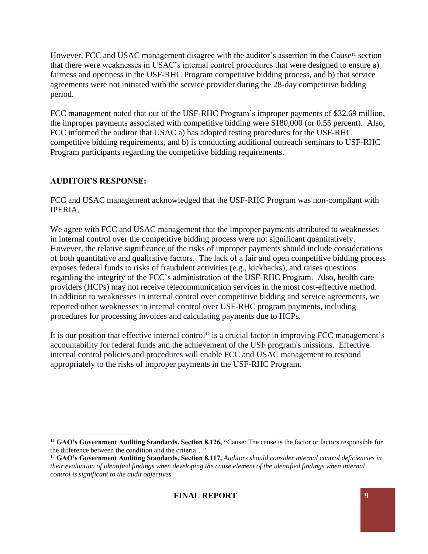However, FCC and USAC management disagree with the auditor's assertion in the Cause<sup>11</sup> section that there were weaknesses in USAC's internal control procedures that were designed to ensure a) fairness and openness in the USF-RHC Program competitive bidding process, and b) that service agreements were not initiated with the service provider during the 28-day competitive bidding period.

FCC management noted that out of the USF-RHC Program's improper payments of \$32.69 million, the improper payments associated with competitive bidding were \$180,000 (or 0.55 percent). Also, FCC informed the auditor that USAC a) has adopted testing procedures for the USF-RHC competitive bidding requirements, and b) is conducting additional outreach seminars to USF-RHC Program participants regarding the competitive bidding requirements.

# **AUDITOR'S RESPONSE:**

FCC and USAC management acknowledged that the USF-RHC Program was non-compliant with IPERIA.

We agree with FCC and USAC management that the improper payments attributed to weaknesses in internal control over the competitive bidding process were not significant quantitatively. However, the relative significance of the risks of improper payments should include considerations of both quantitative and qualitative factors. The lack of a fair and open competitive bidding process exposes federal funds to risks of fraudulent activities (e.g., kickbacks), and raises questions regarding the integrity of the FCC's administration of the USF-RHC Program. Also, health care providers (HCPs) may not receive telecommunication services in the most cost-effective method. In addition to weaknesses in internal control over competitive bidding and service agreements, we reported other weaknesses in internal control over USF-RHC program payments, including procedures for processing invoices and calculating payments due to HCPs.

It is our position that effective internal control<sup>12</sup> is a crucial factor in improving FCC management's accountability for federal funds and the achievement of the USF program's missions. Effective internal control policies and procedures will enable FCC and USAC management to respond appropriately to the risks of improper payments in the USF-RHC Program.

<sup>11</sup> **GAO's Government Auditing Standards, Section 8.126, "**Cause: The cause is the factor or factors responsible for the difference between the condition and the criteria…"

<sup>&</sup>lt;sup>12</sup> GAO's Government Auditing Standards, Section 8.117, *Auditors should consider internal control deficiencies in their evaluation of identified findings when developing the cause element of the identified findings when internal control is significant to the audit objectives.*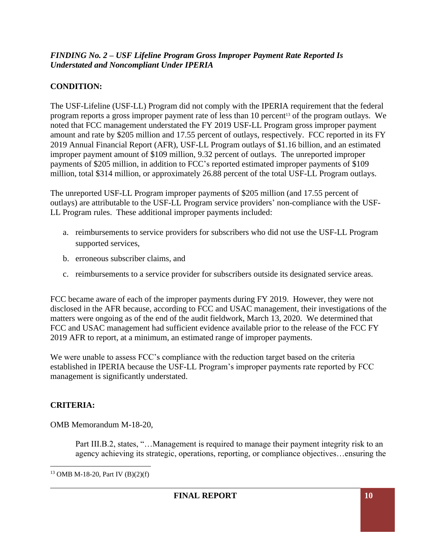#### *FINDING No. 2 – USF Lifeline Program Gross Improper Payment Rate Reported Is Understated and Noncompliant Under IPERIA*

# **CONDITION:**

The USF-Lifeline (USF-LL) Program did not comply with the IPERIA requirement that the federal program reports a gross improper payment rate of less than 10 percent<sup>13</sup> of the program outlays. We noted that FCC management understated the FY 2019 USF-LL Program gross improper payment amount and rate by \$205 million and 17.55 percent of outlays, respectively. FCC reported in its FY 2019 Annual Financial Report (AFR), USF-LL Program outlays of \$1.16 billion, and an estimated improper payment amount of \$109 million, 9.32 percent of outlays. The unreported improper payments of \$205 million, in addition to FCC's reported estimated improper payments of \$109 million, total \$314 million, or approximately 26.88 percent of the total USF-LL Program outlays.

The unreported USF-LL Program improper payments of \$205 million (and 17.55 percent of outlays) are attributable to the USF-LL Program service providers' non-compliance with the USF-LL Program rules. These additional improper payments included:

- a. reimbursements to service providers for subscribers who did not use the USF-LL Program supported services,
- b. erroneous subscriber claims, and
- c. reimbursements to a service provider for subscribers outside its designated service areas.

FCC became aware of each of the improper payments during FY 2019. However, they were not disclosed in the AFR because, according to FCC and USAC management, their investigations of the matters were ongoing as of the end of the audit fieldwork, March 13, 2020. We determined that FCC and USAC management had sufficient evidence available prior to the release of the FCC FY 2019 AFR to report, at a minimum, an estimated range of improper payments.

We were unable to assess FCC's compliance with the reduction target based on the criteria established in IPERIA because the USF-LL Program's improper payments rate reported by FCC management is significantly understated.

# **CRITERIA:**

OMB Memorandum M-18-20,

Part III.B.2, states, "…Management is required to manage their payment integrity risk to an agency achieving its strategic, operations, reporting, or compliance objectives…ensuring the

<sup>13</sup> OMB M-18-20, Part IV (B)(2)(f)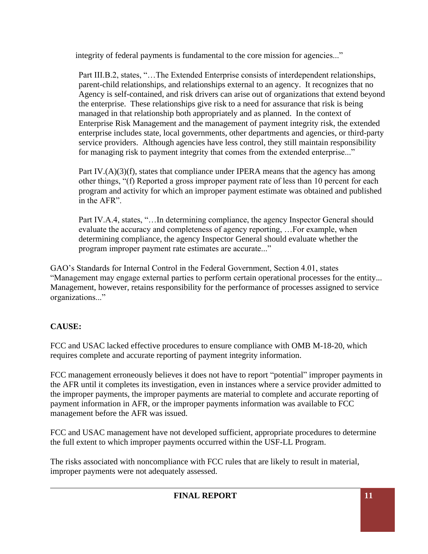integrity of federal payments is fundamental to the core mission for agencies..."

Part III.B.2, states, "…The Extended Enterprise consists of interdependent relationships, parent-child relationships, and relationships external to an agency. It recognizes that no Agency is self-contained, and risk drivers can arise out of organizations that extend beyond the enterprise. These relationships give risk to a need for assurance that risk is being managed in that relationship both appropriately and as planned. In the context of Enterprise Risk Management and the management of payment integrity risk, the extended enterprise includes state, local governments, other departments and agencies, or third-party service providers. Although agencies have less control, they still maintain responsibility for managing risk to payment integrity that comes from the extended enterprise..."

Part IV.(A)(3)(f), states that compliance under IPERA means that the agency has among other things, "(f) Reported a gross improper payment rate of less than 10 percent for each program and activity for which an improper payment estimate was obtained and published in the AFR".

Part IV.A.4, states, "…In determining compliance, the agency Inspector General should evaluate the accuracy and completeness of agency reporting, …For example, when determining compliance, the agency Inspector General should evaluate whether the program improper payment rate estimates are accurate..."

GAO's Standards for Internal Control in the Federal Government, Section 4.01, states "Management may engage external parties to perform certain operational processes for the entity... Management, however, retains responsibility for the performance of processes assigned to service organizations..."

# **CAUSE:**

FCC and USAC lacked effective procedures to ensure compliance with OMB M-18-20, which requires complete and accurate reporting of payment integrity information.

FCC management erroneously believes it does not have to report "potential" improper payments in the AFR until it completes its investigation, even in instances where a service provider admitted to the improper payments, the improper payments are material to complete and accurate reporting of payment information in AFR, or the improper payments information was available to FCC management before the AFR was issued.

FCC and USAC management have not developed sufficient, appropriate procedures to determine the full extent to which improper payments occurred within the USF-LL Program.

The risks associated with noncompliance with FCC rules that are likely to result in material, improper payments were not adequately assessed.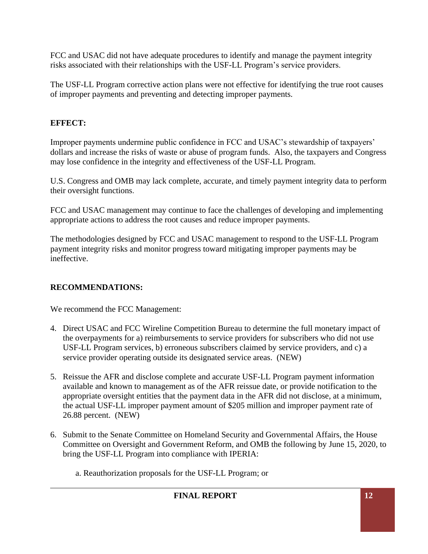FCC and USAC did not have adequate procedures to identify and manage the payment integrity risks associated with their relationships with the USF-LL Program's service providers.

The USF-LL Program corrective action plans were not effective for identifying the true root causes of improper payments and preventing and detecting improper payments.

# **EFFECT:**

Improper payments undermine public confidence in FCC and USAC's stewardship of taxpayers' dollars and increase the risks of waste or abuse of program funds. Also, the taxpayers and Congress may lose confidence in the integrity and effectiveness of the USF-LL Program.

U.S. Congress and OMB may lack complete, accurate, and timely payment integrity data to perform their oversight functions.

FCC and USAC management may continue to face the challenges of developing and implementing appropriate actions to address the root causes and reduce improper payments.

The methodologies designed by FCC and USAC management to respond to the USF-LL Program payment integrity risks and monitor progress toward mitigating improper payments may be ineffective.

# **RECOMMENDATIONS:**

We recommend the FCC Management:

- 4. Direct USAC and FCC Wireline Competition Bureau to determine the full monetary impact of the overpayments for a) reimbursements to service providers for subscribers who did not use USF-LL Program services, b) erroneous subscribers claimed by service providers, and c) a service provider operating outside its designated service areas. (NEW)
- 5. Reissue the AFR and disclose complete and accurate USF-LL Program payment information available and known to management as of the AFR reissue date, or provide notification to the appropriate oversight entities that the payment data in the AFR did not disclose, at a minimum, the actual USF-LL improper payment amount of \$205 million and improper payment rate of 26.88 percent. (NEW)
- 6. Submit to the Senate Committee on Homeland Security and Governmental Affairs, the House Committee on Oversight and Government Reform, and OMB the following by June 15, 2020, to bring the USF-LL Program into compliance with IPERIA:

a. Reauthorization proposals for the USF-LL Program; or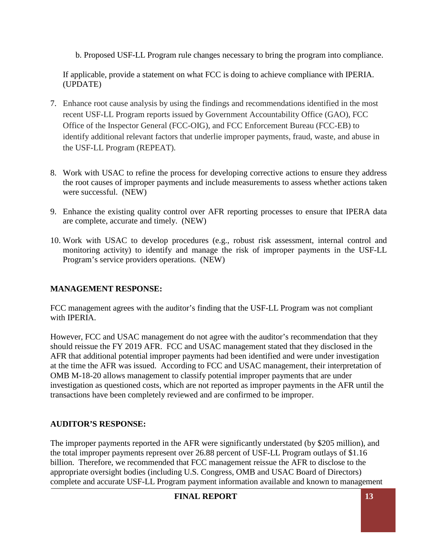b. Proposed USF-LL Program rule changes necessary to bring the program into compliance.

If applicable, provide a statement on what FCC is doing to achieve compliance with IPERIA. (UPDATE)

- 7. Enhance root cause analysis by using the findings and recommendations identified in the most recent USF-LL Program reports issued by Government Accountability Office (GAO), FCC Office of the Inspector General (FCC-OIG), and FCC Enforcement Bureau (FCC-EB) to identify additional relevant factors that underlie improper payments, fraud, waste, and abuse in the USF-LL Program (REPEAT).
- 8. Work with USAC to refine the process for developing corrective actions to ensure they address the root causes of improper payments and include measurements to assess whether actions taken were successful. (NEW)
- 9. Enhance the existing quality control over AFR reporting processes to ensure that IPERA data are complete, accurate and timely. (NEW)
- 10. Work with USAC to develop procedures (e.g., robust risk assessment, internal control and monitoring activity) to identify and manage the risk of improper payments in the USF-LL Program's service providers operations. (NEW)

# **MANAGEMENT RESPONSE:**

FCC management agrees with the auditor's finding that the USF-LL Program was not compliant with IPERIA.

However, FCC and USAC management do not agree with the auditor's recommendation that they should reissue the FY 2019 AFR. FCC and USAC management stated that they disclosed in the AFR that additional potential improper payments had been identified and were under investigation at the time the AFR was issued. According to FCC and USAC management, their interpretation of OMB M-18-20 allows management to classify potential improper payments that are under investigation as questioned costs, which are not reported as improper payments in the AFR until the transactions have been completely reviewed and are confirmed to be improper.

# **AUDITOR'S RESPONSE:**

The improper payments reported in the AFR were significantly understated (by \$205 million), and the total improper payments represent over 26.88 percent of USF-LL Program outlays of \$1.16 billion. Therefore, we recommended that FCC management reissue the AFR to disclose to the appropriate oversight bodies (including U.S. Congress, OMB and USAC Board of Directors) complete and accurate USF-LL Program payment information available and known to management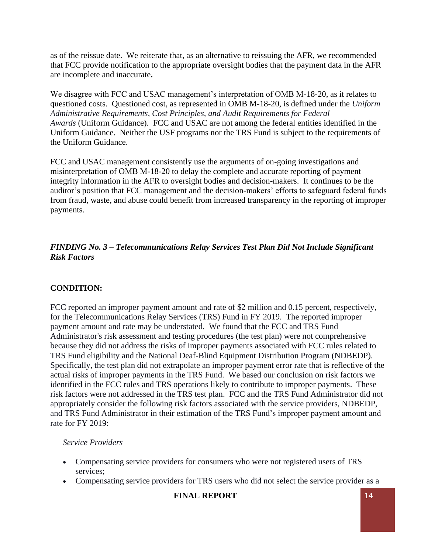as of the reissue date. We reiterate that, as an alternative to reissuing the AFR, we recommended that FCC provide notification to the appropriate oversight bodies that the payment data in the AFR are incomplete and inaccurate**.**

We disagree with FCC and USAC management's interpretation of OMB M-18-20, as it relates to questioned costs. Questioned cost, as represented in OMB M-18-20, is defined under the *Uniform Administrative Requirements, Cost Principles, and Audit Requirements for Federal Awards* (Uniform Guidance). FCC and USAC are not among the federal entities identified in the Uniform Guidance. Neither the USF programs nor the TRS Fund is subject to the requirements of the Uniform Guidance.

FCC and USAC management consistently use the arguments of on-going investigations and misinterpretation of OMB M-18-20 to delay the complete and accurate reporting of payment integrity information in the AFR to oversight bodies and decision-makers. It continues to be the auditor's position that FCC management and the decision-makers' efforts to safeguard federal funds from fraud, waste, and abuse could benefit from increased transparency in the reporting of improper payments.

#### *FINDING No. 3 – Telecommunications Relay Services Test Plan Did Not Include Significant Risk Factors*

#### **CONDITION:**

FCC reported an improper payment amount and rate of \$2 million and 0.15 percent, respectively, for the Telecommunications Relay Services (TRS) Fund in FY 2019. The reported improper payment amount and rate may be understated. We found that the FCC and TRS Fund Administrator's risk assessment and testing procedures (the test plan) were not comprehensive because they did not address the risks of improper payments associated with FCC rules related to TRS Fund eligibility and the National Deaf-Blind Equipment Distribution Program (NDBEDP). Specifically, the test plan did not extrapolate an improper payment error rate that is reflective of the actual risks of improper payments in the TRS Fund. We based our conclusion on risk factors we identified in the FCC rules and TRS operations likely to contribute to improper payments. These risk factors were not addressed in the TRS test plan. FCC and the TRS Fund Administrator did not appropriately consider the following risk factors associated with the service providers, NDBEDP, and TRS Fund Administrator in their estimation of the TRS Fund's improper payment amount and rate for FY 2019:

#### *Service Providers*

- Compensating service providers for consumers who were not registered users of TRS services;
- Compensating service providers for TRS users who did not select the service provider as a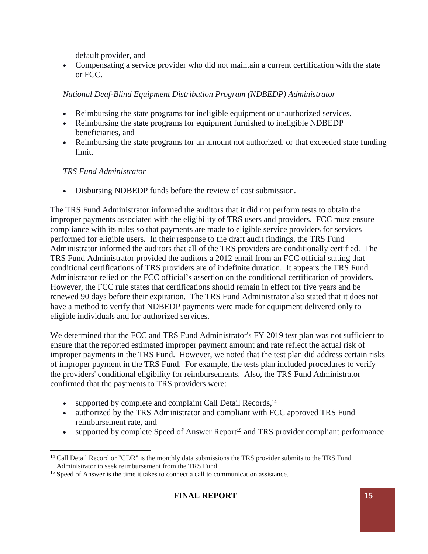default provider, and

• Compensating a service provider who did not maintain a current certification with the state or FCC.

#### *National Deaf-Blind Equipment Distribution Program (NDBEDP) Administrator*

- Reimbursing the state programs for ineligible equipment or unauthorized services,
- Reimbursing the state programs for equipment furnished to ineligible NDBEDP beneficiaries, and
- Reimbursing the state programs for an amount not authorized, or that exceeded state funding limit.

# *TRS Fund Administrator*

• Disbursing NDBEDP funds before the review of cost submission.

The TRS Fund Administrator informed the auditors that it did not perform tests to obtain the improper payments associated with the eligibility of TRS users and providers. FCC must ensure compliance with its rules so that payments are made to eligible service providers for services performed for eligible users. In their response to the draft audit findings, the TRS Fund Administrator informed the auditors that all of the TRS providers are conditionally certified. The TRS Fund Administrator provided the auditors a 2012 email from an FCC official stating that conditional certifications of TRS providers are of indefinite duration. It appears the TRS Fund Administrator relied on the FCC official's assertion on the conditional certification of providers. However, the FCC rule states that certifications should remain in effect for five years and be renewed 90 days before their expiration. The TRS Fund Administrator also stated that it does not have a method to verify that NDBEDP payments were made for equipment delivered only to eligible individuals and for authorized services.

We determined that the FCC and TRS Fund Administrator's FY 2019 test plan was not sufficient to ensure that the reported estimated improper payment amount and rate reflect the actual risk of improper payments in the TRS Fund. However, we noted that the test plan did address certain risks of improper payment in the TRS Fund. For example, the tests plan included procedures to verify the providers' conditional eligibility for reimbursements. Also, the TRS Fund Administrator confirmed that the payments to TRS providers were:

- supported by complete and complaint Call Detail Records,<sup>14</sup>
- authorized by the TRS Administrator and compliant with FCC approved TRS Fund reimbursement rate, and
- supported by complete Speed of Answer Report<sup>15</sup> and TRS provider compliant performance

<sup>&</sup>lt;sup>14</sup> Call Detail Record or "CDR" is the monthly data submissions the TRS provider submits to the TRS Fund Administrator to seek reimbursement from the TRS Fund.

<sup>&</sup>lt;sup>15</sup> Speed of Answer is the time it takes to connect a call to communication assistance.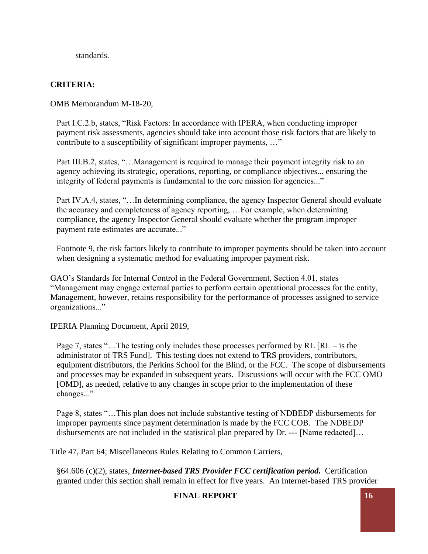standards.

#### **CRITERIA:**

OMB Memorandum M-18-20,

Part I.C.2.b, states, "Risk Factors: In accordance with IPERA, when conducting improper payment risk assessments, agencies should take into account those risk factors that are likely to contribute to a susceptibility of significant improper payments, ..."

Part III.B.2, states, "...Management is required to manage their payment integrity risk to an agency achieving its strategic, operations, reporting, or compliance objectives... ensuring the integrity of federal payments is fundamental to the core mission for agencies..."

Part IV.A.4, states, "…In determining compliance, the agency Inspector General should evaluate the accuracy and completeness of agency reporting, …For example, when determining compliance, the agency Inspector General should evaluate whether the program improper payment rate estimates are accurate..."

Footnote 9, the risk factors likely to contribute to improper payments should be taken into account when designing a systematic method for evaluating improper payment risk.

GAO's Standards for Internal Control in the Federal Government, Section 4.01, states "Management may engage external parties to perform certain operational processes for the entity, Management, however, retains responsibility for the performance of processes assigned to service organizations..."

IPERIA Planning Document, April 2019,

Page 7, states "... The testing only includes those processes performed by RL [RL – is the administrator of TRS Fund]. This testing does not extend to TRS providers, contributors, equipment distributors, the Perkins School for the Blind, or the FCC. The scope of disbursements and processes may be expanded in subsequent years. Discussions will occur with the FCC OMO [OMD], as needed, relative to any changes in scope prior to the implementation of these changes..."

Page 8, states "…This plan does not include substantive testing of NDBEDP disbursements for improper payments since payment determination is made by the FCC COB. The NDBEDP disbursements are not included in the statistical plan prepared by Dr. --- [Name redacted]…

Title 47, Part 64; Miscellaneous Rules Relating to Common Carriers,

§64.606 (c)(2), states, *Internet-based TRS Provider FCC certification period.* Certification granted under this section shall remain in effect for five years. An Internet-based TRS provider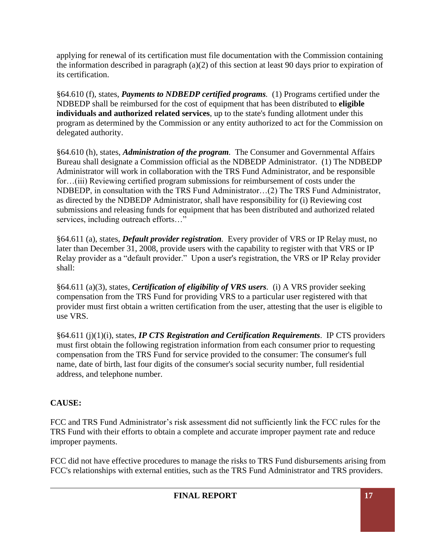applying for renewal of its certification must file documentation with the Commission containing the information described in paragraph (a)(2) of this section at least 90 days prior to expiration of its certification.

§64.610 (f), states, *Payments to NDBEDP certified programs.* (1) Programs certified under the NDBEDP shall be reimbursed for the cost of equipment that has been distributed to **eligible individuals and authorized related services**, up to the state's funding allotment under this program as determined by the Commission or any entity authorized to act for the Commission on delegated authority.

§64.610 (h), states, *Administration of the program.* The Consumer and Governmental Affairs Bureau shall designate a Commission official as the NDBEDP Administrator. (1) The NDBEDP Administrator will work in collaboration with the TRS Fund Administrator, and be responsible for...(iii) Reviewing certified program submissions for reimbursement of costs under the NDBEDP, in consultation with the TRS Fund Administrator…(2) The TRS Fund Administrator, as directed by the NDBEDP Administrator, shall have responsibility for (i) Reviewing cost submissions and releasing funds for equipment that has been distributed and authorized related services, including outreach efforts…"

§64.611 (a), states, *Default provider registration.* Every provider of VRS or IP Relay must, no later than December 31, 2008, provide users with the capability to register with that VRS or IP Relay provider as a "default provider." Upon a user's registration, the VRS or IP Relay provider shall:

§64.611 (a)(3), states, *Certification of eligibility of VRS users.* (i) A VRS provider seeking compensation from the TRS Fund for providing VRS to a particular user registered with that provider must first obtain a written certification from the user, attesting that the user is eligible to use VRS.

§64.611 (j)(1)(i), states, *IP CTS Registration and Certification Requirements*. IP CTS providers must first obtain the following registration information from each consumer prior to requesting compensation from the TRS Fund for service provided to the consumer: The consumer's full name, date of birth, last four digits of the consumer's social security number, full residential address, and telephone number.

# **CAUSE:**

FCC and TRS Fund Administrator's risk assessment did not sufficiently link the FCC rules for the TRS Fund with their efforts to obtain a complete and accurate improper payment rate and reduce improper payments.

FCC did not have effective procedures to manage the risks to TRS Fund disbursements arising from FCC's relationships with external entities, such as the TRS Fund Administrator and TRS providers.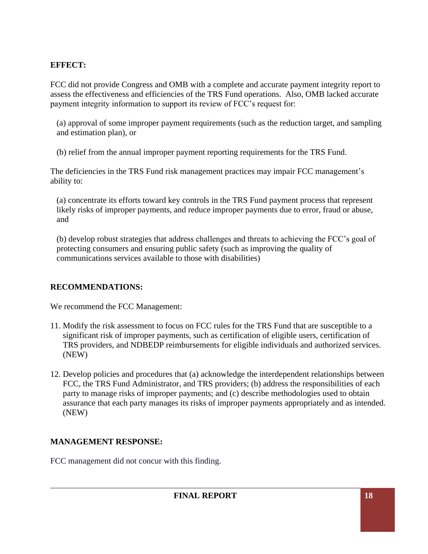#### **EFFECT:**

FCC did not provide Congress and OMB with a complete and accurate payment integrity report to assess the effectiveness and efficiencies of the TRS Fund operations. Also, OMB lacked accurate payment integrity information to support its review of FCC's request for:

(a) approval of some improper payment requirements (such as the reduction target, and sampling and estimation plan), or

(b) relief from the annual improper payment reporting requirements for the TRS Fund.

The deficiencies in the TRS Fund risk management practices may impair FCC management's ability to:

(a) concentrate its efforts toward key controls in the TRS Fund payment process that represent likely risks of improper payments, and reduce improper payments due to error, fraud or abuse, and

(b) develop robust strategies that address challenges and threats to achieving the FCC's goal of protecting consumers and ensuring public safety (such as improving the quality of communications services available to those with disabilities)

#### **RECOMMENDATIONS:**

We recommend the FCC Management:

- 11. Modify the risk assessment to focus on FCC rules for the TRS Fund that are susceptible to a significant risk of improper payments, such as certification of eligible users, certification of TRS providers, and NDBEDP reimbursements for eligible individuals and authorized services. (NEW)
- 12. Develop policies and procedures that (a) acknowledge the interdependent relationships between FCC, the TRS Fund Administrator, and TRS providers; (b) address the responsibilities of each party to manage risks of improper payments; and (c) describe methodologies used to obtain assurance that each party manages its risks of improper payments appropriately and as intended. (NEW)

# **MANAGEMENT RESPONSE:**

FCC management did not concur with this finding.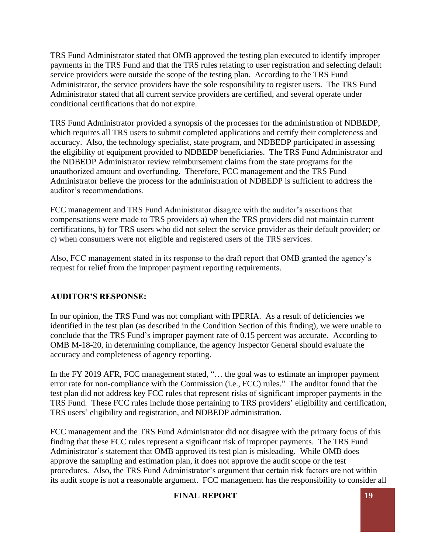TRS Fund Administrator stated that OMB approved the testing plan executed to identify improper payments in the TRS Fund and that the TRS rules relating to user registration and selecting default service providers were outside the scope of the testing plan. According to the TRS Fund Administrator, the service providers have the sole responsibility to register users. The TRS Fund Administrator stated that all current service providers are certified, and several operate under conditional certifications that do not expire.

TRS Fund Administrator provided a synopsis of the processes for the administration of NDBEDP, which requires all TRS users to submit completed applications and certify their completeness and accuracy. Also, the technology specialist, state program, and NDBEDP participated in assessing the eligibility of equipment provided to NDBEDP beneficiaries. The TRS Fund Administrator and the NDBEDP Administrator review reimbursement claims from the state programs for the unauthorized amount and overfunding. Therefore, FCC management and the TRS Fund Administrator believe the process for the administration of NDBEDP is sufficient to address the auditor's recommendations.

FCC management and TRS Fund Administrator disagree with the auditor's assertions that compensations were made to TRS providers a) when the TRS providers did not maintain current certifications, b) for TRS users who did not select the service provider as their default provider; or c) when consumers were not eligible and registered users of the TRS services.

Also, FCC management stated in its response to the draft report that OMB granted the agency's request for relief from the improper payment reporting requirements.

#### **AUDITOR'S RESPONSE:**

In our opinion, the TRS Fund was not compliant with IPERIA. As a result of deficiencies we identified in the test plan (as described in the Condition Section of this finding), we were unable to conclude that the TRS Fund's improper payment rate of 0.15 percent was accurate. According to OMB M-18-20, in determining compliance, the agency Inspector General should evaluate the accuracy and completeness of agency reporting.

In the FY 2019 AFR, FCC management stated, "... the goal was to estimate an improper payment error rate for non-compliance with the Commission (i.e., FCC) rules." The auditor found that the test plan did not address key FCC rules that represent risks of significant improper payments in the TRS Fund. These FCC rules include those pertaining to TRS providers' eligibility and certification, TRS users' eligibility and registration, and NDBEDP administration.

FCC management and the TRS Fund Administrator did not disagree with the primary focus of this finding that these FCC rules represent a significant risk of improper payments. The TRS Fund Administrator's statement that OMB approved its test plan is misleading. While OMB does approve the sampling and estimation plan, it does not approve the audit scope or the test procedures. Also, the TRS Fund Administrator's argument that certain risk factors are not within its audit scope is not a reasonable argument. FCC management has the responsibility to consider all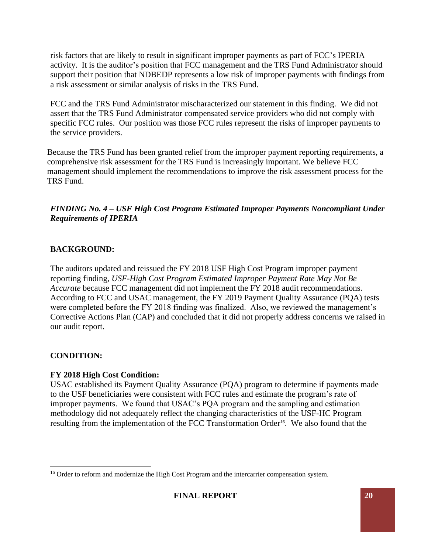risk factors that are likely to result in significant improper payments as part of FCC's IPERIA activity. It is the auditor's position that FCC management and the TRS Fund Administrator should support their position that NDBEDP represents a low risk of improper payments with findings from a risk assessment or similar analysis of risks in the TRS Fund.

FCC and the TRS Fund Administrator mischaracterized our statement in this finding. We did not assert that the TRS Fund Administrator compensated service providers who did not comply with specific FCC rules. Our position was those FCC rules represent the risks of improper payments to the service providers.

Because the TRS Fund has been granted relief from the improper payment reporting requirements, a comprehensive risk assessment for the TRS Fund is increasingly important. We believe FCC management should implement the recommendations to improve the risk assessment process for the TRS Fund.

#### *FINDING No. 4 – USF High Cost Program Estimated Improper Payments Noncompliant Under Requirements of IPERIA*

#### **BACKGROUND:**

The auditors updated and reissued the FY 2018 USF High Cost Program improper payment reporting finding, *USF-High Cost Program Estimated Improper Payment Rate May Not Be Accurate* because FCC management did not implement the FY 2018 audit recommendations. According to FCC and USAC management, the FY 2019 Payment Quality Assurance (PQA) tests were completed before the FY 2018 finding was finalized. Also, we reviewed the management's Corrective Actions Plan (CAP) and concluded that it did not properly address concerns we raised in our audit report.

# **CONDITION:**

# **FY 2018 High Cost Condition:**

USAC established its Payment Quality Assurance (PQA) program to determine if payments made to the USF beneficiaries were consistent with FCC rules and estimate the program's rate of improper payments. We found that USAC's PQA program and the sampling and estimation methodology did not adequately reflect the changing characteristics of the USF-HC Program resulting from the implementation of the FCC Transformation Order<sup>16</sup>. We also found that the

<sup>&</sup>lt;sup>16</sup> Order to reform and modernize the High Cost Program and the intercarrier compensation system.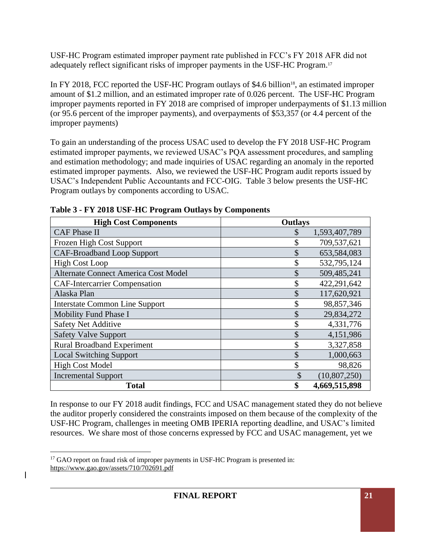USF-HC Program estimated improper payment rate published in FCC's FY 2018 AFR did not adequately reflect significant risks of improper payments in the USF-HC Program.<sup>17</sup>

In FY 2018, FCC reported the USF-HC Program outlays of \$4.6 billion<sup>18</sup>, an estimated improper amount of \$1.2 million, and an estimated improper rate of 0.026 percent. The USF-HC Program improper payments reported in FY 2018 are comprised of improper underpayments of \$1.13 million (or 95.6 percent of the improper payments), and overpayments of \$53,357 (or 4.4 percent of the improper payments)

To gain an understanding of the process USAC used to develop the FY 2018 USF-HC Program estimated improper payments, we reviewed USAC's PQA assessment procedures, and sampling and estimation methodology; and made inquiries of USAC regarding an anomaly in the reported estimated improper payments. Also, we reviewed the USF-HC Program audit reports issued by USAC's Independent Public Accountants and FCC-OIG. Table 3 below presents the USF-HC Program outlays by components according to USAC.

| <b>High Cost Components</b>                 | <b>Outlays</b>       |
|---------------------------------------------|----------------------|
| <b>CAF Phase II</b>                         | 1,593,407,789<br>S   |
| Frozen High Cost Support                    | 709,537,621<br>\$    |
| <b>CAF-Broadband Loop Support</b>           | 653,584,083          |
| <b>High Cost Loop</b>                       | 532,795,124          |
| <b>Alternate Connect America Cost Model</b> | 509,485,241          |
| <b>CAF-Intercarrier Compensation</b>        | 422,291,642          |
| Alaska Plan                                 | 117,620,921          |
| <b>Interstate Common Line Support</b>       | \$<br>98,857,346     |
| Mobility Fund Phase I                       | 29,834,272<br>\$     |
| <b>Safety Net Additive</b>                  | \$<br>4,331,776      |
| <b>Safety Valve Support</b>                 | \$<br>4,151,986      |
| <b>Rural Broadband Experiment</b>           | 3,327,858<br>\$      |
| <b>Local Switching Support</b>              | \$<br>1,000,663      |
| <b>High Cost Model</b>                      | 98,826<br>\$         |
| <b>Incremental Support</b>                  | \$<br>(10, 807, 250) |
| Total                                       | 4,669,515,898<br>\$  |

**Table 3 - FY 2018 USF-HC Program Outlays by Components** 

In response to our FY 2018 audit findings, FCC and USAC management stated they do not believe the auditor properly considered the constraints imposed on them because of the complexity of the USF-HC Program, challenges in meeting OMB IPERIA reporting deadline, and USAC's limited resources. We share most of those concerns expressed by FCC and USAC management, yet we

<sup>&</sup>lt;sup>17</sup> GAO report on fraud risk of improper payments in USF-HC Program is presented in: https://www.gao.gov/assets/710/702691.pdf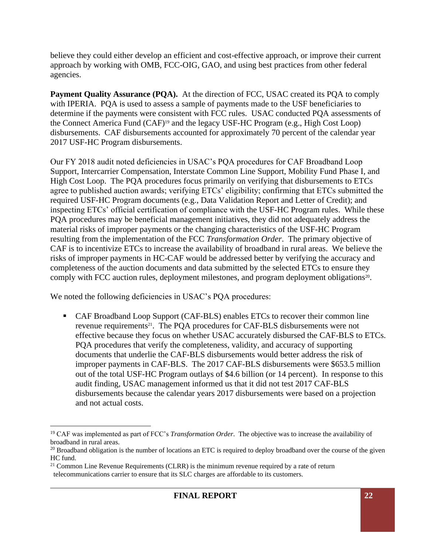believe they could either develop an efficient and cost-effective approach, or improve their current approach by working with OMB, FCC-OIG, GAO, and using best practices from other federal agencies.

**Payment Quality Assurance (PQA).** At the direction of FCC, USAC created its PQA to comply with IPERIA. PQA is used to assess a sample of payments made to the USF beneficiaries to determine if the payments were consistent with FCC rules. USAC conducted PQA assessments of the Connect America Fund (CAF)<sup>19</sup> and the legacy USF-HC Program (e.g., High Cost Loop) disbursements. CAF disbursements accounted for approximately 70 percent of the calendar year 2017 USF-HC Program disbursements.

Our FY 2018 audit noted deficiencies in USAC's PQA procedures for CAF Broadband Loop Support, Intercarrier Compensation, Interstate Common Line Support, Mobility Fund Phase I, and High Cost Loop. The PQA procedures focus primarily on verifying that disbursements to ETCs agree to published auction awards; verifying ETCs' eligibility; confirming that ETCs submitted the required USF-HC Program documents (e.g., Data Validation Report and Letter of Credit); and inspecting ETCs' official certification of compliance with the USF-HC Program rules. While these PQA procedures may be beneficial management initiatives, they did not adequately address the material risks of improper payments or the changing characteristics of the USF-HC Program resulting from the implementation of the FCC *Transformation Order*. The primary objective of CAF is to incentivize ETCs to increase the availability of broadband in rural areas. We believe the risks of improper payments in HC-CAF would be addressed better by verifying the accuracy and completeness of the auction documents and data submitted by the selected ETCs to ensure they comply with FCC auction rules, deployment milestones, and program deployment obligations<sup>20</sup>.

We noted the following deficiencies in USAC's PQA procedures:

■ CAF Broadband Loop Support (CAF-BLS) enables ETCs to recover their common line revenue requirements<sup>21</sup>. The PQA procedures for CAF-BLS disbursements were not effective because they focus on whether USAC accurately disbursed the CAF-BLS to ETCs. PQA procedures that verify the completeness, validity, and accuracy of supporting documents that underlie the CAF-BLS disbursements would better address the risk of improper payments in CAF-BLS. The 2017 CAF-BLS disbursements were \$653.5 million out of the total USF-HC Program outlays of \$4.6 billion (or 14 percent). In response to this audit finding, USAC management informed us that it did not test 2017 CAF-BLS disbursements because the calendar years 2017 disbursements were based on a projection and not actual costs.

<sup>19</sup> CAF was implemented as part of FCC's *Transformation Order*. The objective was to increase the availability of broadband in rural areas.

<sup>&</sup>lt;sup>20</sup> Broadband obligation is the number of locations an ETC is required to deploy broadband over the course of the given HC fund.

 $21$  Common Line Revenue Requirements (CLRR) is the minimum revenue required by a rate of return telecommunications carrier to ensure that its SLC charges are affordable to its customers.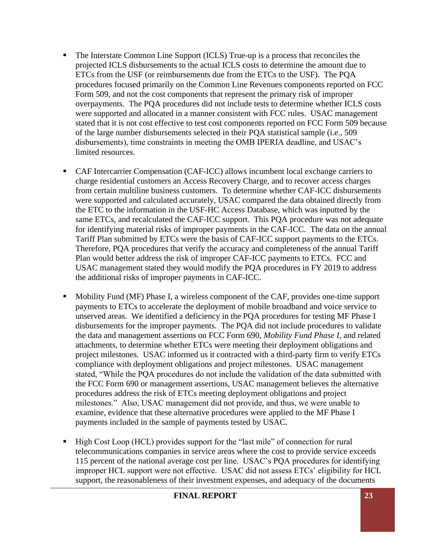- The Interstate Common Line Support (ICLS) True-up is a process that reconciles the projected ICLS disbursements to the actual ICLS costs to determine the amount due to ETCs from the USF (or reimbursements due from the ETCs to the USF). The PQA procedures focused primarily on the Common Line Revenues components reported on FCC Form 509, and not the cost components that represent the primary risk of improper overpayments. The PQA procedures did not include tests to determine whether ICLS costs were supported and allocated in a manner consistent with FCC rules. USAC management stated that it is not cost effective to test cost components reported on FCC Form 509 because of the large number disbursements selected in their PQA statistical sample (i.e., 509 disbursements), time constraints in meeting the OMB IPERIA deadline, and USAC's limited resources.
- CAF Intercarrier Compensation (CAF-ICC) allows incumbent local exchange carriers to charge residential customers an Access Recovery Charge, and to recover access charges from certain multiline business customers. To determine whether CAF-ICC disbursements were supported and calculated accurately, USAC compared the data obtained directly from the ETC to the information in the USF-HC Access Database, which was inputted by the same ETCs, and recalculated the CAF-ICC support. This PQA procedure was not adequate for identifying material risks of improper payments in the CAF-ICC. The data on the annual Tariff Plan submitted by ETCs were the basis of CAF-ICC support payments to the ETCs. Therefore, PQA procedures that verify the accuracy and completeness of the annual Tariff Plan would better address the risk of improper CAF-ICC payments to ETCs. FCC and USAC management stated they would modify the PQA procedures in FY 2019 to address the additional risks of improper payments in CAF-ICC.
- Mobility Fund (MF) Phase I, a wireless component of the CAF, provides one-time support payments to ETCs to accelerate the deployment of mobile broadband and voice service to unserved areas. We identified a deficiency in the PQA procedures for testing MF Phase I disbursements for the improper payments. The PQA did not include procedures to validate the data and management assertions on FCC Form 690, *Mobility Fund Phase I*, and related attachments, to determine whether ETCs were meeting their deployment obligations and project milestones. USAC informed us it contracted with a third-party firm to verify ETCs compliance with deployment obligations and project milestones. USAC management stated, "While the PQA procedures do not include the validation of the data submitted with the FCC Form 690 or management assertions*,* USAC management believes the alternative procedures address the risk of ETCs meeting deployment obligations and project milestones." Also, USAC management did not provide, and thus, we were unable to examine, evidence that these alternative procedures were applied to the MF Phase I payments included in the sample of payments tested by USAC.
- High Cost Loop (HCL) provides support for the "last mile" of connection for rural telecommunications companies in service areas where the cost to provide service exceeds 115 percent of the national average cost per line. USAC's PQA procedures for identifying improper HCL support were not effective. USAC did not assess ETCs' eligibility for HCL support, the reasonableness of their investment expenses, and adequacy of the documents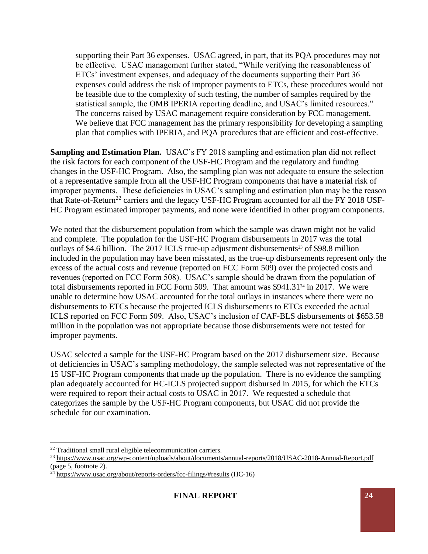supporting their Part 36 expenses. USAC agreed, in part, that its PQA procedures may not be effective. USAC management further stated, "While verifying the reasonableness of ETCs' investment expenses, and adequacy of the documents supporting their Part 36 expenses could address the risk of improper payments to ETCs, these procedures would not be feasible due to the complexity of such testing, the number of samples required by the statistical sample, the OMB IPERIA reporting deadline, and USAC's limited resources." The concerns raised by USAC management require consideration by FCC management. We believe that FCC management has the primary responsibility for developing a sampling plan that complies with IPERIA, and PQA procedures that are efficient and cost-effective.

**Sampling and Estimation Plan.** USAC's FY 2018 sampling and estimation plan did not reflect the risk factors for each component of the USF-HC Program and the regulatory and funding changes in the USF-HC Program. Also, the sampling plan was not adequate to ensure the selection of a representative sample from all the USF-HC Program components that have a material risk of improper payments. These deficiencies in USAC's sampling and estimation plan may be the reason that Rate-of-Return<sup>22</sup> carriers and the legacy USF-HC Program accounted for all the FY 2018 USF-HC Program estimated improper payments, and none were identified in other program components.

We noted that the disbursement population from which the sample was drawn might not be valid and complete. The population for the USF-HC Program disbursements in 2017 was the total outlays of \$4.6 billion. The 2017 ICLS true-up adjustment disbursements<sup>23</sup> of \$98.8 million included in the population may have been misstated, as the true-up disbursements represent only the excess of the actual costs and revenue (reported on FCC Form 509) over the projected costs and revenues (reported on FCC Form 508). USAC's sample should be drawn from the population of total disbursements reported in FCC Form 509. That amount was \$941.31<sup>24</sup> in 2017. We were unable to determine how USAC accounted for the total outlays in instances where there were no disbursements to ETCs because the projected ICLS disbursements to ETCs exceeded the actual ICLS reported on FCC Form 509. Also, USAC's inclusion of CAF-BLS disbursements of \$653.58 million in the population was not appropriate because those disbursements were not tested for improper payments.

USAC selected a sample for the USF-HC Program based on the 2017 disbursement size. Because of deficiencies in USAC's sampling methodology, the sample selected was not representative of the 15 USF-HC Program components that made up the population. There is no evidence the sampling plan adequately accounted for HC-ICLS projected support disbursed in 2015, for which the ETCs were required to report their actual costs to USAC in 2017. We requested a schedule that categorizes the sample by the USF-HC Program components, but USAC did not provide the schedule for our examination.

<sup>22</sup> Traditional small rural eligible telecommunication carriers.

<sup>&</sup>lt;sup>23</sup> https://www.usac.org/wp-content/uploads/about/documents/annual-reports/2018/USAC-2018-Annual-Report.pdf (page 5, footnote 2).

<sup>&</sup>lt;sup>24</sup> https://www.usac.org/about/reports-orders/fcc-filings/#results (HC-16)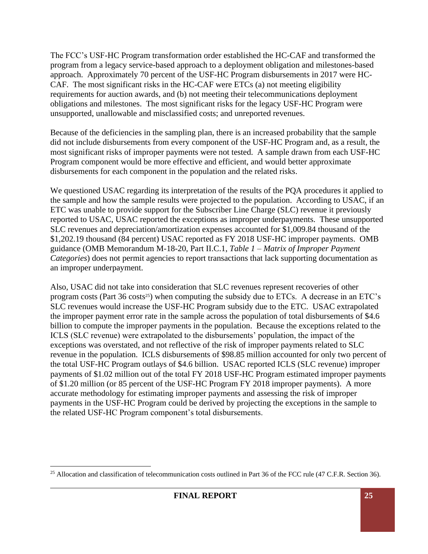The FCC's USF-HC Program transformation order established the HC-CAF and transformed the program from a legacy service-based approach to a deployment obligation and milestones-based approach. Approximately 70 percent of the USF-HC Program disbursements in 2017 were HC-CAF. The most significant risks in the HC-CAF were ETCs (a) not meeting eligibility requirements for auction awards, and (b) not meeting their telecommunications deployment obligations and milestones. The most significant risks for the legacy USF-HC Program were unsupported, unallowable and misclassified costs; and unreported revenues.

Because of the deficiencies in the sampling plan, there is an increased probability that the sample did not include disbursements from every component of the USF-HC Program and, as a result, the most significant risks of improper payments were not tested. A sample drawn from each USF-HC Program component would be more effective and efficient, and would better approximate disbursements for each component in the population and the related risks.

We questioned USAC regarding its interpretation of the results of the PQA procedures it applied to the sample and how the sample results were projected to the population. According to USAC, if an ETC was unable to provide support for the Subscriber Line Charge (SLC) revenue it previously reported to USAC, USAC reported the exceptions as improper underpayments. These unsupported SLC revenues and depreciation/amortization expenses accounted for \$1,009.84 thousand of the \$1,202.19 thousand (84 percent) USAC reported as FY 2018 USF-HC improper payments. OMB guidance (OMB Memorandum M-18-20, Part II.C.1, *Table 1 – Matrix of Improper Payment Categories*) does not permit agencies to report transactions that lack supporting documentation as an improper underpayment.

Also, USAC did not take into consideration that SLC revenues represent recoveries of other program costs (Part  $36 \cos(35)$ ) when computing the subsidy due to ETCs. A decrease in an ETC's SLC revenues would increase the USF-HC Program subsidy due to the ETC. USAC extrapolated the improper payment error rate in the sample across the population of total disbursements of \$4.6 billion to compute the improper payments in the population. Because the exceptions related to the ICLS (SLC revenue) were extrapolated to the disbursements' population, the impact of the exceptions was overstated, and not reflective of the risk of improper payments related to SLC revenue in the population. ICLS disbursements of \$98.85 million accounted for only two percent of the total USF-HC Program outlays of \$4.6 billion. USAC reported ICLS (SLC revenue) improper payments of \$1.02 million out of the total FY 2018 USF-HC Program estimated improper payments of \$1.20 million (or 85 percent of the USF-HC Program FY 2018 improper payments). A more accurate methodology for estimating improper payments and assessing the risk of improper payments in the USF-HC Program could be derived by projecting the exceptions in the sample to the related USF-HC Program component's total disbursements.

<sup>&</sup>lt;sup>25</sup> Allocation and classification of telecommunication costs outlined in Part 36 of the FCC rule (47 C.F.R. Section 36).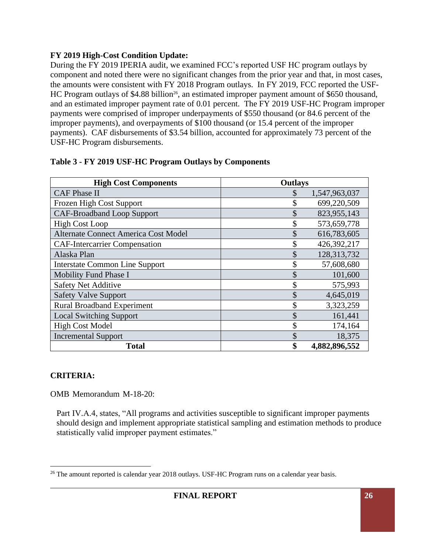#### **FY 2019 High-Cost Condition Update:**

During the FY 2019 IPERIA audit, we examined FCC's reported USF HC program outlays by component and noted there were no significant changes from the prior year and that, in most cases, the amounts were consistent with FY 2018 Program outlays. In FY 2019, FCC reported the USF-HC Program outlays of \$4.88 billion<sup>26</sup>, an estimated improper payment amount of \$650 thousand, and an estimated improper payment rate of 0.01 percent. The FY 2019 USF-HC Program improper payments were comprised of improper underpayments of \$550 thousand (or 84.6 percent of the improper payments), and overpayments of \$100 thousand (or 15.4 percent of the improper payments). CAF disbursements of \$3.54 billion, accounted for approximately 73 percent of the USF-HC Program disbursements.

| <b>High Cost Components</b>           | <b>Outlays</b>      |
|---------------------------------------|---------------------|
| <b>CAF Phase II</b>                   | 1,547,963,037<br>\$ |
| Frozen High Cost Support              | \$<br>699,220,509   |
| <b>CAF-Broadband Loop Support</b>     | \$<br>823,955,143   |
| <b>High Cost Loop</b>                 | 573,659,778<br>\$   |
| Alternate Connect America Cost Model  | \$<br>616,783,605   |
| <b>CAF-Intercarrier Compensation</b>  | \$<br>426,392,217   |
| Alaska Plan                           | \$<br>128,313,732   |
| <b>Interstate Common Line Support</b> | \$<br>57,608,680    |
| <b>Mobility Fund Phase I</b>          | \$<br>101,600       |
| <b>Safety Net Additive</b>            | \$<br>575,993       |
| <b>Safety Valve Support</b>           | \$<br>4,645,019     |
| <b>Rural Broadband Experiment</b>     | \$<br>3,323,259     |
| <b>Local Switching Support</b>        | \$<br>161,441       |
| <b>High Cost Model</b>                | \$<br>174,164       |
| <b>Incremental Support</b>            | \$<br>18,375        |
| <b>Total</b>                          | \$<br>4,882,896,552 |

#### **Table 3 - FY 2019 USF-HC Program Outlays by Components**

# **CRITERIA:**

OMB Memorandum M-18-20:

 Part IV.A.4, states, "All programs and activities susceptible to significant improper payments should design and implement appropriate statistical sampling and estimation methods to produce statistically valid improper payment estimates."

<sup>&</sup>lt;sup>26</sup> The amount reported is calendar year 2018 outlays. USF-HC Program runs on a calendar year basis.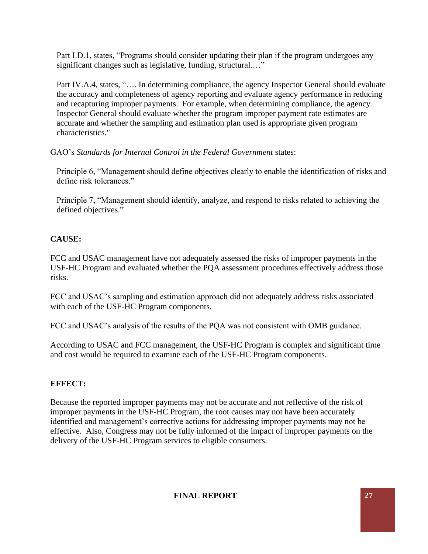Part I.D.1, states, "Programs should consider updating their plan if the program undergoes any significant changes such as legislative, funding, structural...."

Part IV.A.4, states, "…. In determining compliance, the agency Inspector General should evaluate the accuracy and completeness of agency reporting and evaluate agency performance in reducing and recapturing improper payments. For example, when determining compliance, the agency Inspector General should evaluate whether the program improper payment rate estimates are accurate and whether the sampling and estimation plan used is appropriate given program characteristics."

GAO's *Standards for Internal Control in the Federal Government* states:

Principle 6, "Management should define objectives clearly to enable the identification of risks and define risk tolerances."

Principle 7, "Management should identify, analyze, and respond to risks related to achieving the defined objectives."

# **CAUSE:**

FCC and USAC management have not adequately assessed the risks of improper payments in the USF-HC Program and evaluated whether the PQA assessment procedures effectively address those risks.

FCC and USAC's sampling and estimation approach did not adequately address risks associated with each of the USF-HC Program components.

FCC and USAC's analysis of the results of the PQA was not consistent with OMB guidance.

According to USAC and FCC management, the USF-HC Program is complex and significant time and cost would be required to examine each of the USF-HC Program components.

# **EFFECT:**

Because the reported improper payments may not be accurate and not reflective of the risk of improper payments in the USF-HC Program, the root causes may not have been accurately identified and management's corrective actions for addressing improper payments may not be effective. Also, Congress may not be fully informed of the impact of improper payments on the delivery of the USF-HC Program services to eligible consumers.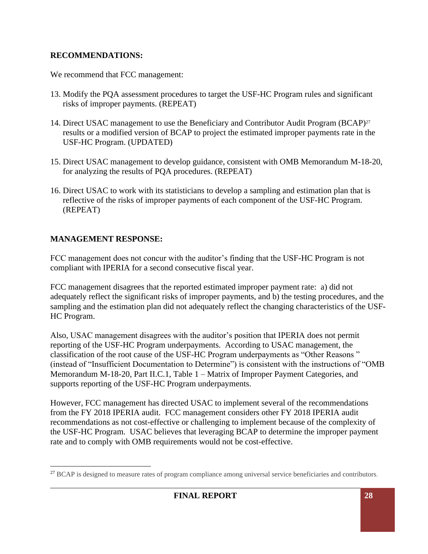#### **RECOMMENDATIONS:**

We recommend that FCC management:

- 13. Modify the PQA assessment procedures to target the USF-HC Program rules and significant risks of improper payments. (REPEAT)
- 14. Direct USAC management to use the Beneficiary and Contributor Audit Program (BCAP)<sup>27</sup> results or a modified version of BCAP to project the estimated improper payments rate in the USF-HC Program. (UPDATED)
- 15. Direct USAC management to develop guidance, consistent with OMB Memorandum M-18-20, for analyzing the results of PQA procedures. (REPEAT)
- 16. Direct USAC to work with its statisticians to develop a sampling and estimation plan that is reflective of the risks of improper payments of each component of the USF-HC Program. (REPEAT)

# **MANAGEMENT RESPONSE:**

FCC management does not concur with the auditor's finding that the USF-HC Program is not compliant with IPERIA for a second consecutive fiscal year.

FCC management disagrees that the reported estimated improper payment rate: a) did not adequately reflect the significant risks of improper payments, and b) the testing procedures, and the sampling and the estimation plan did not adequately reflect the changing characteristics of the USF-HC Program.

Also, USAC management disagrees with the auditor's position that IPERIA does not permit reporting of the USF-HC Program underpayments. According to USAC management, the classification of the root cause of the USF-HC Program underpayments as "Other Reasons " (instead of "Insufficient Documentation to Determine") is consistent with the instructions of "OMB Memorandum M-18-20, Part II.C.1, Table 1 – Matrix of Improper Payment Categories, and supports reporting of the USF-HC Program underpayments.

However, FCC management has directed USAC to implement several of the recommendations from the FY 2018 IPERIA audit. FCC management considers other FY 2018 IPERIA audit recommendations as not cost-effective or challenging to implement because of the complexity of the USF-HC Program. USAC believes that leveraging BCAP to determine the improper payment rate and to comply with OMB requirements would not be cost-effective.

<sup>&</sup>lt;sup>27</sup> BCAP is designed to measure rates of program compliance among universal service beneficiaries and contributors.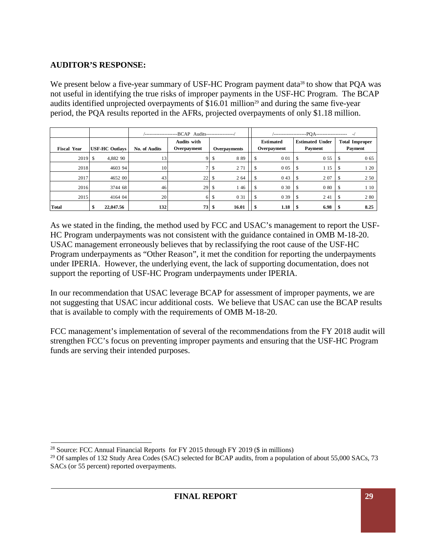#### **AUDITOR'S RESPONSE:**

We present below a five-year summary of USF-HC Program payment data<sup>28</sup> to show that PQA was not useful in identifying the true risks of improper payments in the USF-HC Program. The BCAP audits identified unprojected overpayments of  $$16.01$  million<sup>29</sup> and during the same five-year period, the PQA results reported in the AFRs, projected overpayments of only \$1.18 million.

|                    |                       | --BCAP Audits-----------------/<br>, __________________   |     |                     |       |                                 |       |                                   |                                  |
|--------------------|-----------------------|-----------------------------------------------------------|-----|---------------------|-------|---------------------------------|-------|-----------------------------------|----------------------------------|
| <b>Fiscal Year</b> | <b>USF-HC Outlays</b> | <b>Audits with</b><br>Overpayment<br><b>No. of Audits</b> |     | <b>Overpayments</b> |       | <b>Estimated</b><br>Overpayment |       | <b>Estimated Under</b><br>Payment | <b>Total Improper</b><br>Payment |
| 2019S              | 4,882 90              | 13                                                        |     | ъ                   | 889   | <sup>\$</sup>                   | 0 0 1 | -S<br>0 5 5                       | 0 65<br>-S                       |
| 2018               | 4603 94               | 10                                                        |     |                     | 2 7 1 |                                 | 0 0 5 | -S<br>115                         | 1 20<br>\$                       |
| 2017               | 4652 00               | 43                                                        | 22  | -S                  | 2 64  |                                 | 043   | 207<br><sup>\$</sup>              | 2 50                             |
| 2016               | 3744 68               | 46                                                        | 29S |                     | 146   | <sup>\$</sup>                   | 0 30  | 080S<br>$\mathcal{S}$             | 1 10                             |
| 2015               | 4164 04               | 20                                                        |     | 6S                  | 0 31  |                                 | 0 3 9 | -S<br>2 4 1                       | 280<br><sup>\$</sup>             |
| <b>Total</b>       | 22,047.56<br>\$       | 132                                                       | 73S |                     | 16.01 |                                 | 1.18  | 6.98<br>-\$                       | 8.25                             |

As we stated in the finding, the method used by FCC and USAC's management to report the USF-HC Program underpayments was not consistent with the guidance contained in OMB M-18-20. USAC management erroneously believes that by reclassifying the root cause of the USF-HC Program underpayments as "Other Reason", it met the condition for reporting the underpayments under IPERIA. However, the underlying event, the lack of supporting documentation, does not support the reporting of USF-HC Program underpayments under IPERIA.

In our recommendation that USAC leverage BCAP for assessment of improper payments, we are not suggesting that USAC incur additional costs. We believe that USAC can use the BCAP results that is available to comply with the requirements of OMB M-18-20.

FCC management's implementation of several of the recommendations from the FY 2018 audit will strengthen FCC's focus on preventing improper payments and ensuring that the USF-HC Program funds are serving their intended purposes.

<sup>&</sup>lt;sup>28</sup> Source: FCC Annual Financial Reports for FY 2015 through FY 2019 (\$ in millions)

<sup>&</sup>lt;sup>29</sup> Of samples of 132 Study Area Codes (SAC) selected for BCAP audits, from a population of about 55,000 SACs, 73 SACs (or 55 percent) reported overpayments.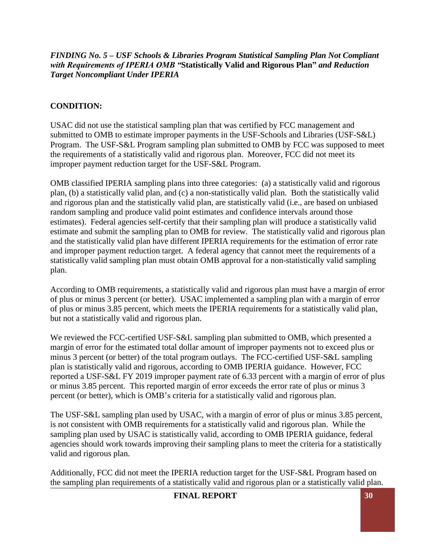*FINDING No. 5 – USF Schools & Libraries Program Statistical Sampling Plan Not Compliant with Requirements of IPERIA OMB "***Statistically Valid and Rigorous Plan"** *and Reduction Target Noncompliant Under IPERIA* 

#### **CONDITION:**

USAC did not use the statistical sampling plan that was certified by FCC management and submitted to OMB to estimate improper payments in the USF-Schools and Libraries (USF-S&L) Program. The USF-S&L Program sampling plan submitted to OMB by FCC was supposed to meet the requirements of a statistically valid and rigorous plan. Moreover, FCC did not meet its improper payment reduction target for the USF-S&L Program.

OMB classified IPERIA sampling plans into three categories: (a) a statistically valid and rigorous plan, (b) a statistically valid plan, and (c) a non-statistically valid plan. Both the statistically valid and rigorous plan and the statistically valid plan, are statistically valid (i.e., are based on unbiased random sampling and produce valid point estimates and confidence intervals around those estimates). Federal agencies self-certify that their sampling plan will produce a statistically valid estimate and submit the sampling plan to OMB for review. The statistically valid and rigorous plan and the statistically valid plan have different IPERIA requirements for the estimation of error rate and improper payment reduction target. A federal agency that cannot meet the requirements of a statistically valid sampling plan must obtain OMB approval for a non-statistically valid sampling plan.

According to OMB requirements, a statistically valid and rigorous plan must have a margin of error of plus or minus 3 percent (or better). USAC implemented a sampling plan with a margin of error of plus or minus 3.85 percent, which meets the IPERIA requirements for a statistically valid plan, but not a statistically valid and rigorous plan.

We reviewed the FCC-certified USF-S&L sampling plan submitted to OMB, which presented a margin of error for the estimated total dollar amount of improper payments not to exceed plus or minus 3 percent (or better) of the total program outlays. The FCC-certified USF-S&L sampling plan is statistically valid and rigorous, according to OMB IPERIA guidance. However, FCC reported a USF-S&L FY 2019 improper payment rate of 6.33 percent with a margin of error of plus or minus 3.85 percent. This reported margin of error exceeds the error rate of plus or minus 3 percent (or better), which is OMB's criteria for a statistically valid and rigorous plan.

The USF-S&L sampling plan used by USAC, with a margin of error of plus or minus 3.85 percent, is not consistent with OMB requirements for a statistically valid and rigorous plan. While the sampling plan used by USAC is statistically valid, according to OMB IPERIA guidance, federal agencies should work towards improving their sampling plans to meet the criteria for a statistically valid and rigorous plan.

Additionally, FCC did not meet the IPERIA reduction target for the USF-S&L Program based on the sampling plan requirements of a statistically valid and rigorous plan or a statistically valid plan.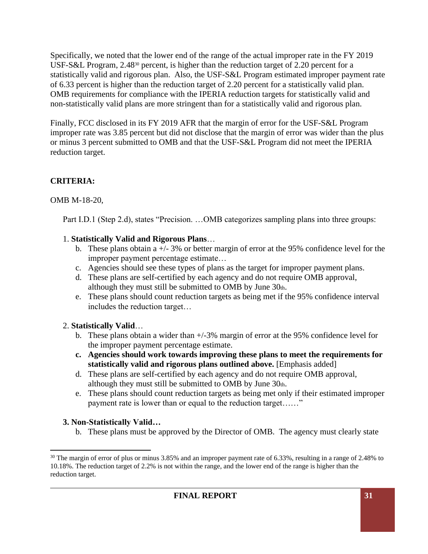Specifically, we noted that the lower end of the range of the actual improper rate in the FY 2019 USF-S&L Program, 2.48<sup>30</sup> percent, is higher than the reduction target of 2.20 percent for a statistically valid and rigorous plan. Also, the USF-S&L Program estimated improper payment rate of 6.33 percent is higher than the reduction target of 2.20 percent for a statistically valid plan. OMB requirements for compliance with the IPERIA reduction targets for statistically valid and non-statistically valid plans are more stringent than for a statistically valid and rigorous plan.

Finally, FCC disclosed in its FY 2019 AFR that the margin of error for the USF-S&L Program improper rate was 3.85 percent but did not disclose that the margin of error was wider than the plus or minus 3 percent submitted to OMB and that the USF-S&L Program did not meet the IPERIA reduction target.

# **CRITERIA:**

#### OMB M-18-20,

Part I.D.1 (Step 2.d), states "Precision. ...OMB categorizes sampling plans into three groups:

#### 1. **Statistically Valid and Rigorous Plans**…

- b. These plans obtain a +/- 3% or better margin of error at the 95% confidence level for the improper payment percentage estimate…
- c. Agencies should see these types of plans as the target for improper payment plans.
- d. These plans are self-certified by each agency and do not require OMB approval, although they must still be submitted to OMB by June 30th.
- e. These plans should count reduction targets as being met if the 95% confidence interval includes the reduction target…

# 2. **Statistically Valid**…

- b. These plans obtain a wider than +/-3% margin of error at the 95% confidence level for the improper payment percentage estimate.
- **c. Agencies should work towards improving these plans to meet the requirements for statistically valid and rigorous plans outlined above.** [Emphasis added]
- d. These plans are self-certified by each agency and do not require OMB approval, although they must still be submitted to OMB by June  $30<sub>th</sub>$ .
- e. These plans should count reduction targets as being met only if their estimated improper payment rate is lower than or equal to the reduction target......"

# **3. Non-Statistically Valid…**

b. These plans must be approved by the Director of OMB. The agency must clearly state

 $30$  The margin of error of plus or minus 3.85% and an improper payment rate of 6.33%, resulting in a range of 2.48% to 10.18%. The reduction target of 2.2% is not within the range, and the lower end of the range is higher than the reduction target.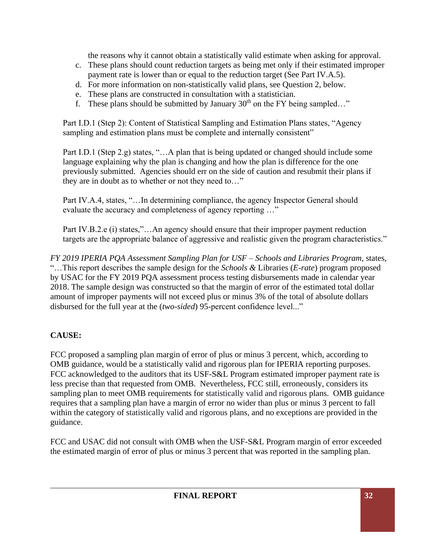the reasons why it cannot obtain a statistically valid estimate when asking for approval.

- c. These plans should count reduction targets as being met only if their estimated improper payment rate is lower than or equal to the reduction target (See Part IV.A.5).
- d. For more information on non-statistically valid plans, see Question 2, below.
- e. These plans are constructed in consultation with a statistician.
- f. These plans should be submitted by January  $30<sup>th</sup>$  on the FY being sampled..."

Part I.D.1 (Step 2): Content of Statistical Sampling and Estimation Plans states, "Agency sampling and estimation plans must be complete and internally consistent"

Part I.D.1 (Step 2.g) states, "...A plan that is being updated or changed should include some language explaining why the plan is changing and how the plan is difference for the one previously submitted. Agencies should err on the side of caution and resubmit their plans if they are in doubt as to whether or not they need to…"

Part IV.A.4, states, "…In determining compliance, the agency Inspector General should evaluate the accuracy and completeness of agency reporting …"

Part IV.B.2.e (i) states,"…An agency should ensure that their improper payment reduction targets are the appropriate balance of aggressive and realistic given the program characteristics."

*FY 2019 IPERIA PQA Assessment Sampling Plan for USF – Schools and Libraries Program*, states, "…This report describes the sample design for the *Schools &* Libraries (*E-rate*) program proposed by USAC for the FY 2019 PQA assessment process testing disbursements made in calendar year 2018. The sample design was constructed so that the margin of error of the estimated total dollar amount of improper payments will not exceed plus or minus 3% of the total of absolute dollars disbursed for the full year at the (*two-sided*) 95-percent confidence level..."

# **CAUSE:**

FCC proposed a sampling plan margin of error of plus or minus 3 percent, which, according to OMB guidance, would be a statistically valid and rigorous plan for IPERIA reporting purposes. FCC acknowledged to the auditors that its USF-S&L Program estimated improper payment rate is less precise than that requested from OMB. Nevertheless, FCC still, erroneously, considers its sampling plan to meet OMB requirements for statistically valid and rigorous plans. OMB guidance requires that a sampling plan have a margin of error no wider than plus or minus 3 percent to fall within the category of statistically valid and rigorous plans, and no exceptions are provided in the guidance.

FCC and USAC did not consult with OMB when the USF-S&L Program margin of error exceeded the estimated margin of error of plus or minus 3 percent that was reported in the sampling plan.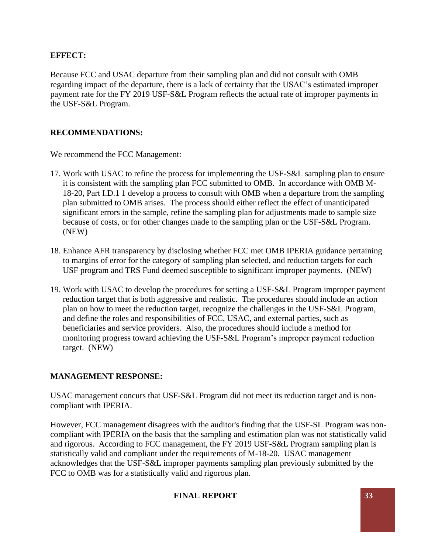#### **EFFECT:**

Because FCC and USAC departure from their sampling plan and did not consult with OMB regarding impact of the departure, there is a lack of certainty that the USAC's estimated improper payment rate for the FY 2019 USF-S&L Program reflects the actual rate of improper payments in the USF-S&L Program.

#### **RECOMMENDATIONS:**

We recommend the FCC Management:

- 17. Work with USAC to refine the process for implementing the USF-S&L sampling plan to ensure it is consistent with the sampling plan FCC submitted to OMB. In accordance with OMB M-18-20, Part I.D.1 1 develop a process to consult with OMB when a departure from the sampling plan submitted to OMB arises. The process should either reflect the effect of unanticipated significant errors in the sample, refine the sampling plan for adjustments made to sample size because of costs, or for other changes made to the sampling plan or the USF-S&L Program. (NEW)
- 18. Enhance AFR transparency by disclosing whether FCC met OMB IPERIA guidance pertaining to margins of error for the category of sampling plan selected, and reduction targets for each USF program and TRS Fund deemed susceptible to significant improper payments. (NEW)
- 19. Work with USAC to develop the procedures for setting a USF-S&L Program improper payment reduction target that is both aggressive and realistic. The procedures should include an action plan on how to meet the reduction target, recognize the challenges in the USF-S&L Program, and define the roles and responsibilities of FCC, USAC, and external parties, such as beneficiaries and service providers. Also, the procedures should include a method for monitoring progress toward achieving the USF-S&L Program's improper payment reduction target. (NEW)

#### **MANAGEMENT RESPONSE:**

USAC management concurs that USF-S&L Program did not meet its reduction target and is noncompliant with IPERIA.

However, FCC management disagrees with the auditor's finding that the USF-SL Program was noncompliant with IPERIA on the basis that the sampling and estimation plan was not statistically valid and rigorous. According to FCC management, the FY 2019 USF-S&L Program sampling plan is statistically valid and compliant under the requirements of M-18-20. USAC management acknowledges that the USF-S&L improper payments sampling plan previously submitted by the FCC to OMB was for a statistically valid and rigorous plan.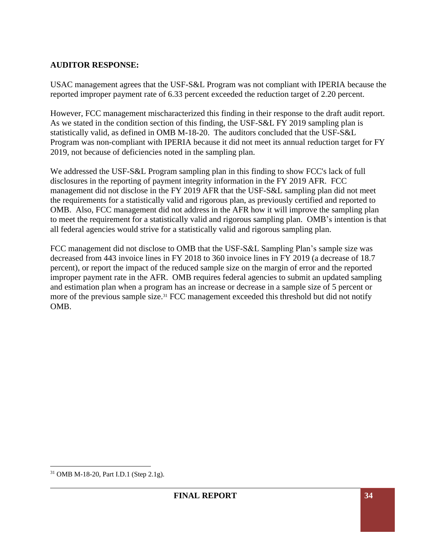#### **AUDITOR RESPONSE:**

USAC management agrees that the USF-S&L Program was not compliant with IPERIA because the reported improper payment rate of 6.33 percent exceeded the reduction target of 2.20 percent.

However, FCC management mischaracterized this finding in their response to the draft audit report. As we stated in the condition section of this finding, the USF-S&L FY 2019 sampling plan is statistically valid, as defined in OMB M-18-20. The auditors concluded that the USF-S&L Program was non-compliant with IPERIA because it did not meet its annual reduction target for FY 2019, not because of deficiencies noted in the sampling plan.

We addressed the USF-S&L Program sampling plan in this finding to show FCC's lack of full disclosures in the reporting of payment integrity information in the FY 2019 AFR. FCC management did not disclose in the FY 2019 AFR that the USF-S&L sampling plan did not meet the requirements for a statistically valid and rigorous plan, as previously certified and reported to OMB. Also, FCC management did not address in the AFR how it will improve the sampling plan to meet the requirement for a statistically valid and rigorous sampling plan. OMB's intention is that all federal agencies would strive for a statistically valid and rigorous sampling plan.

FCC management did not disclose to OMB that the USF-S&L Sampling Plan's sample size was decreased from 443 invoice lines in FY 2018 to 360 invoice lines in FY 2019 (a decrease of 18.7 percent), or report the impact of the reduced sample size on the margin of error and the reported improper payment rate in the AFR. OMB requires federal agencies to submit an updated sampling and estimation plan when a program has an increase or decrease in a sample size of 5 percent or more of the previous sample size.<sup>31</sup> FCC management exceeded this threshold but did not notify OMB.

<sup>31</sup> OMB M-18-20, Part I.D.1 (Step 2.1g).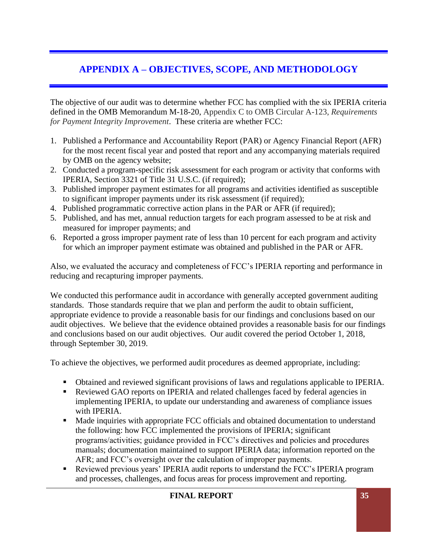# **APPENDIX A – OBJECTIVES, SCOPE, AND METHODOLOGY**

The objective of our audit was to determine whether FCC has complied with the six IPERIA criteria defined in the OMB Memorandum M-18-20, Appendix C to OMB Circular A-123, *Requirements for Payment Integrity Improvement*. These criteria are whether FCC:

- 1. Published a Performance and Accountability Report (PAR) or Agency Financial Report (AFR) for the most recent fiscal year and posted that report and any accompanying materials required by OMB on the agency website;
- 2. Conducted a program-specific risk assessment for each program or activity that conforms with IPERIA, Section 3321 of Title 31 U.S.C. (if required);
- 3. Published improper payment estimates for all programs and activities identified as susceptible to significant improper payments under its risk assessment (if required);
- 4. Published programmatic corrective action plans in the PAR or AFR (if required);
- 5. Published, and has met, annual reduction targets for each program assessed to be at risk and measured for improper payments; and
- 6. Reported a gross improper payment rate of less than 10 percent for each program and activity for which an improper payment estimate was obtained and published in the PAR or AFR.

Also, we evaluated the accuracy and completeness of FCC's IPERIA reporting and performance in reducing and recapturing improper payments.

We conducted this performance audit in accordance with generally accepted government auditing standards. Those standards require that we plan and perform the audit to obtain sufficient, appropriate evidence to provide a reasonable basis for our findings and conclusions based on our audit objectives. We believe that the evidence obtained provides a reasonable basis for our findings and conclusions based on our audit objectives. Our audit covered the period October 1, 2018, through September 30, 2019.

To achieve the objectives, we performed audit procedures as deemed appropriate, including:

- Obtained and reviewed significant provisions of laws and regulations applicable to IPERIA.
- Reviewed GAO reports on IPERIA and related challenges faced by federal agencies in implementing IPERIA, to update our understanding and awareness of compliance issues with IPERIA.
- Made inquiries with appropriate FCC officials and obtained documentation to understand the following: how FCC implemented the provisions of IPERIA; significant programs/activities; guidance provided in FCC's directives and policies and procedures manuals; documentation maintained to support IPERIA data; information reported on the AFR; and FCC's oversight over the calculation of improper payments.
- Reviewed previous years' IPERIA audit reports to understand the FCC's IPERIA program and processes, challenges, and focus areas for process improvement and reporting.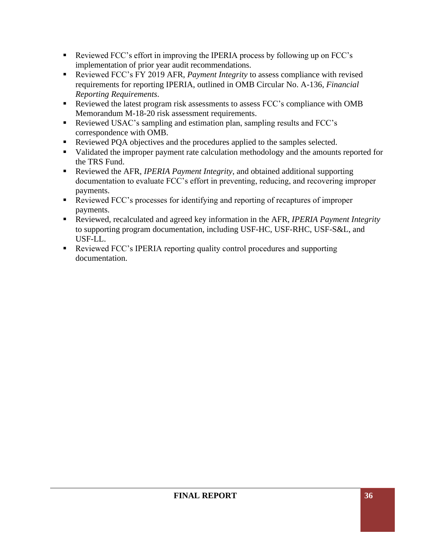- Reviewed FCC's effort in improving the IPERIA process by following up on FCC's implementation of prior year audit recommendations.
- Reviewed FCC's FY 2019 AFR, *Payment Integrity* to assess compliance with revised requirements for reporting IPERIA, outlined in OMB Circular No. A-136, *Financial Reporting Requirements*.
- Reviewed the latest program risk assessments to assess FCC's compliance with OMB Memorandum M-18-20 risk assessment requirements.
- Reviewed USAC's sampling and estimation plan, sampling results and FCC's correspondence with OMB.
- Reviewed PQA objectives and the procedures applied to the samples selected.
- Validated the improper payment rate calculation methodology and the amounts reported for the TRS Fund.
- Reviewed the AFR, *IPERIA Payment Integrity*, and obtained additional supporting documentation to evaluate FCC's effort in preventing, reducing, and recovering improper payments.
- Reviewed FCC's processes for identifying and reporting of recaptures of improper payments.
- Reviewed, recalculated and agreed key information in the AFR, *IPERIA Payment Integrity* to supporting program documentation, including USF-HC, USF-RHC, USF-S&L, and USF-LL.
- Reviewed FCC's IPERIA reporting quality control procedures and supporting documentation.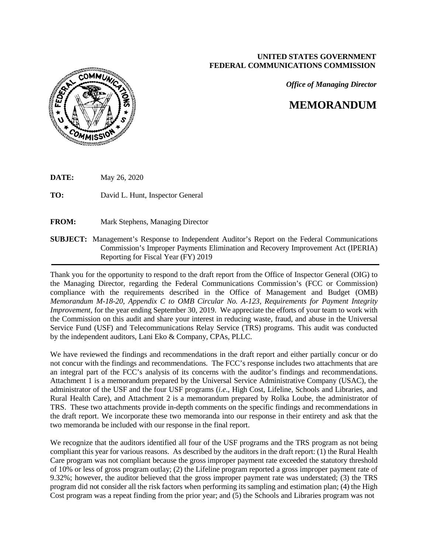#### **UNITED STATES GOVERNMENT FEDERAL COMMUNICATIONS COMMISSION**

*Office of Managing Director*

# **MEMORANDUM**



| <b>DATE:</b><br>May 26, 2020 |  |
|------------------------------|--|
|------------------------------|--|

**TO:** David L. Hunt, Inspector General

**FROM:** Mark Stephens, Managing Director

**SUBJECT:** Management's Response to Independent Auditor's Report on the Federal Communications Commission's Improper Payments Elimination and Recovery Improvement Act (IPERIA) Reporting for Fiscal Year (FY) 2019

Thank you for the opportunity to respond to the draft report from the Office of Inspector General (OIG) to the Managing Director, regarding the Federal Communications Commission's (FCC or Commission) compliance with the requirements described in the Office of Management and Budget (OMB) *Memorandum M-18-20, Appendix C to OMB Circular No. A-123, Requirements for Payment Integrity Improvement*, for the year ending September 30, 2019. We appreciate the efforts of your team to work with the Commission on this audit and share your interest in reducing waste, fraud, and abuse in the Universal Service Fund (USF) and Telecommunications Relay Service (TRS) programs. This audit was conducted by the independent auditors, Lani Eko & Company, CPAs, PLLC.

We have reviewed the findings and recommendations in the draft report and either partially concur or do not concur with the findings and recommendations. The FCC's response includes two attachments that are an integral part of the FCC's analysis of its concerns with the auditor's findings and recommendations. Attachment 1 is a memorandum prepared by the Universal Service Administrative Company (USAC), the administrator of the USF and the four USF programs (*i.e*., High Cost, Lifeline, Schools and Libraries, and Rural Health Care), and Attachment 2 is a memorandum prepared by Rolka Loube, the administrator of TRS. These two attachments provide in-depth comments on the specific findings and recommendations in the draft report. We incorporate these two memoranda into our response in their entirety and ask that the two memoranda be included with our response in the final report.

We recognize that the auditors identified all four of the USF programs and the TRS program as not being compliant this year for various reasons. As described by the auditors in the draft report: (1) the Rural Health Care program was not compliant because the gross improper payment rate exceeded the statutory threshold of 10% or less of gross program outlay; (2) the Lifeline program reported a gross improper payment rate of 9.32%; however, the auditor believed that the gross improper payment rate was understated; (3) the TRS program did not consider all the risk factors when performing its sampling and estimation plan; (4) the High Cost program was a repeat finding from the prior year; and (5) the Schools and Libraries program was not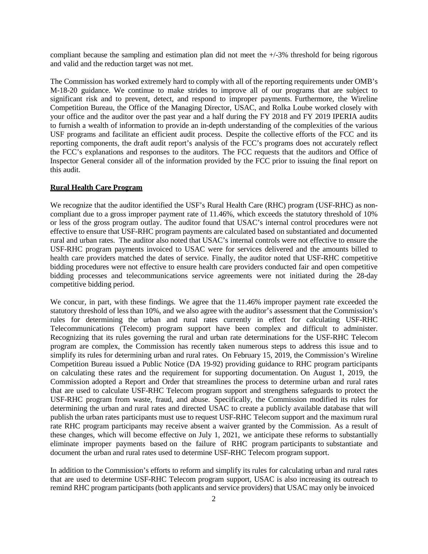compliant because the sampling and estimation plan did not meet the +/-3% threshold for being rigorous and valid and the reduction target was not met.

The Commission has worked extremely hard to comply with all of the reporting requirements under OMB's M-18-20 guidance. We continue to make strides to improve all of our programs that are subject to significant risk and to prevent, detect, and respond to improper payments. Furthermore, the Wireline Competition Bureau, the Office of the Managing Director, USAC, and Rolka Loube worked closely with your office and the auditor over the past year and a half during the FY 2018 and FY 2019 IPERIA audits to furnish a wealth of information to provide an in-depth understanding of the complexities of the various USF programs and facilitate an efficient audit process. Despite the collective efforts of the FCC and its reporting components, the draft audit report's analysis of the FCC's programs does not accurately reflect the FCC's explanations and responses to the auditors. The FCC requests that the auditors and Office of Inspector General consider all of the information provided by the FCC prior to issuing the final report on this audit.

#### **Rural Health Care Program**

We recognize that the auditor identified the USF's Rural Health Care (RHC) program (USF-RHC) as noncompliant due to a gross improper payment rate of 11.46%, which exceeds the statutory threshold of 10% or less of the gross program outlay. The auditor found that USAC's internal control procedures were not effective to ensure that USF-RHC program payments are calculated based on substantiated and documented rural and urban rates. The auditor also noted that USAC's internal controls were not effective to ensure the USF-RHC program payments invoiced to USAC were for services delivered and the amounts billed to health care providers matched the dates of service. Finally, the auditor noted that USF-RHC competitive bidding procedures were not effective to ensure health care providers conducted fair and open competitive bidding processes and telecommunications service agreements were not initiated during the 28-day competitive bidding period.

We concur, in part, with these findings. We agree that the 11.46% improper payment rate exceeded the statutory threshold of less than 10%, and we also agree with the auditor's assessment that the Commission's rules for determining the urban and rural rates currently in effect for calculating USF-RHC Telecommunications (Telecom) program support have been complex and difficult to administer. Recognizing that its rules governing the rural and urban rate determinations for the USF-RHC Telecom program are complex, the Commission has recently taken numerous steps to address this issue and to simplify its rules for determining urban and rural rates. On February 15, 2019, the Commission's Wireline Competition Bureau issued a Public Notice (DA 19-92) providing guidance to RHC program participants on calculating these rates and the requirement for supporting documentation. On August 1, 2019, the Commission adopted a Report and Order that streamlines the process to determine urban and rural rates that are used to calculate USF-RHC Telecom program support and strengthens safeguards to protect the USF-RHC program from waste, fraud, and abuse. Specifically, the Commission modified its rules for determining the urban and rural rates and directed USAC to create a publicly available database that will publish the urban rates participants must use to request USF-RHC Telecom support and the maximum rural rate RHC program participants may receive absent a waiver granted by the Commission. As a result of these changes, which will become effective on July 1, 2021, we anticipate these reforms to substantially eliminate improper payments based on the failure of RHC program participants to substantiate and document the urban and rural rates used to determine USF-RHC Telecom program support.

In addition to the Commission's efforts to reform and simplify its rules for calculating urban and rural rates that are used to determine USF-RHC Telecom program support, USAC is also increasing its outreach to remind RHC program participants (both applicants and service providers) that USAC may only be invoiced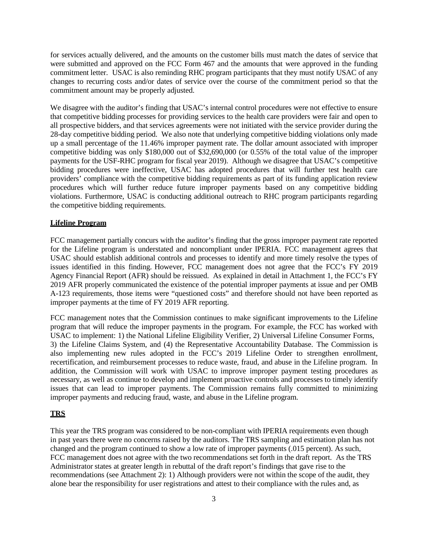for services actually delivered, and the amounts on the customer bills must match the dates of service that were submitted and approved on the FCC Form 467 and the amounts that were approved in the funding commitment letter. USAC is also reminding RHC program participants that they must notify USAC of any changes to recurring costs and/or dates of service over the course of the commitment period so that the commitment amount may be properly adjusted.

We disagree with the auditor's finding that USAC's internal control procedures were not effective to ensure that competitive bidding processes for providing services to the health care providers were fair and open to all prospective bidders, and that services agreements were not initiated with the service provider during the 28-day competitive bidding period. We also note that underlying competitive bidding violations only made up a small percentage of the 11.46% improper payment rate. The dollar amount associated with improper competitive bidding was only \$180,000 out of \$32,690,000 (or 0.55% of the total value of the improper payments for the USF-RHC program for fiscal year 2019). Although we disagree that USAC's competitive bidding procedures were ineffective, USAC has adopted procedures that will further test health care providers' compliance with the competitive bidding requirements as part of its funding application review procedures which will further reduce future improper payments based on any competitive bidding violations. Furthermore, USAC is conducting additional outreach to RHC program participants regarding the competitive bidding requirements.

#### **Lifeline Program**

FCC management partially concurs with the auditor's finding that the gross improper payment rate reported for the Lifeline program is understated and noncompliant under IPERIA. FCC management agrees that USAC should establish additional controls and processes to identify and more timely resolve the types of issues identified in this finding. However, FCC management does not agree that the FCC's FY 2019 Agency Financial Report (AFR) should be reissued. As explained in detail in Attachment 1, the FCC's FY 2019 AFR properly communicated the existence of the potential improper payments at issue and per OMB A-123 requirements, those items were "questioned costs" and therefore should not have been reported as improper payments at the time of FY 2019 AFR reporting.

FCC management notes that the Commission continues to make significant improvements to the Lifeline program that will reduce the improper payments in the program. For example, the FCC has worked with USAC to implement: 1) the National Lifeline Eligibility Verifier, 2) Universal Lifeline Consumer Forms, 3) the Lifeline Claims System, and (4) the Representative Accountability Database. The Commission is also implementing new rules adopted in the FCC's 2019 Lifeline Order to strengthen enrollment, recertification, and reimbursement processes to reduce waste, fraud, and abuse in the Lifeline program. In addition, the Commission will work with USAC to improve improper payment testing procedures as necessary, as well as continue to develop and implement proactive controls and processes to timely identify issues that can lead to improper payments. The Commission remains fully committed to minimizing improper payments and reducing fraud, waste, and abuse in the Lifeline program.

#### **TRS**

This year the TRS program was considered to be non-compliant with IPERIA requirements even though in past years there were no concerns raised by the auditors. The TRS sampling and estimation plan has not changed and the program continued to show a low rate of improper payments (.015 percent). As such, FCC management does not agree with the two recommendations set forth in the draft report. As the TRS Administrator states at greater length in rebuttal of the draft report's findings that gave rise to the recommendations (see Attachment 2): 1) Although providers were not within the scope of the audit, they alone bear the responsibility for user registrations and attest to their compliance with the rules and, as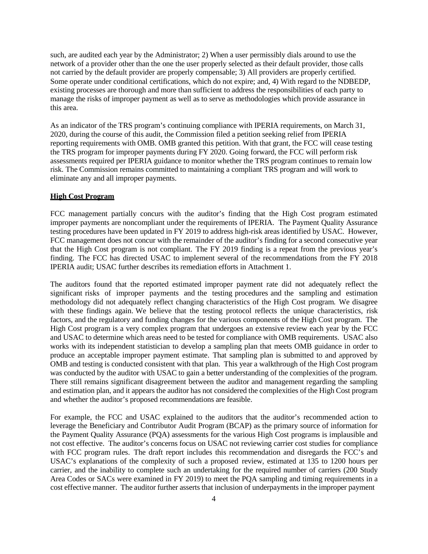such, are audited each year by the Administrator; 2) When a user permissibly dials around to use the network of a provider other than the one the user properly selected as their default provider, those calls not carried by the default provider are properly compensable; 3) All providers are properly certified. Some operate under conditional certifications, which do not expire; and, 4) With regard to the NDBEDP, existing processes are thorough and more than sufficient to address the responsibilities of each party to manage the risks of improper payment as well as to serve as methodologies which provide assurance in this area.

As an indicator of the TRS program's continuing compliance with IPERIA requirements, on March 31, 2020, during the course of this audit, the Commission filed a petition seeking relief from IPERIA reporting requirements with OMB. OMB granted this petition. With that grant, the FCC will cease testing the TRS program for improper payments during FY 2020. Going forward, the FCC will perform risk assessments required per IPERIA guidance to monitor whether the TRS program continues to remain low risk. The Commission remains committed to maintaining a compliant TRS program and will work to eliminate any and all improper payments.

#### **High Cost Program**

FCC management partially concurs with the auditor's finding that the High Cost program estimated improper payments are noncompliant under the requirements of IPERIA. The Payment Quality Assurance testing procedures have been updated in FY 2019 to address high-risk areas identified by USAC. However, FCC management does not concur with the remainder of the auditor's finding for a second consecutive year that the High Cost program is not compliant. The FY 2019 finding is a repeat from the previous year's finding. The FCC has directed USAC to implement several of the recommendations from the FY 2018 IPERIA audit; USAC further describes its remediation efforts in Attachment 1.

The auditors found that the reported estimated improper payment rate did not adequately reflect the significant risks of improper payments and the testing procedures and the sampling and estimation methodology did not adequately reflect changing characteristics of the High Cost program. We disagree with these findings again. We believe that the testing protocol reflects the unique characteristics, risk factors, and the regulatory and funding changes for the various components of the High Cost program. The High Cost program is a very complex program that undergoes an extensive review each year by the FCC and USAC to determine which areas need to be tested for compliance with OMB requirements. USAC also works with its independent statistician to develop a sampling plan that meets OMB guidance in order to produce an acceptable improper payment estimate. That sampling plan is submitted to and approved by OMB and testing is conducted consistent with that plan. This year a walkthrough of the High Cost program was conducted by the auditor with USAC to gain a better understanding of the complexities of the program. There still remains significant disagreement between the auditor and management regarding the sampling and estimation plan, and it appears the auditor has not considered the complexities of the High Cost program and whether the auditor's proposed recommendations are feasible.

For example, the FCC and USAC explained to the auditors that the auditor's recommended action to leverage the Beneficiary and Contributor Audit Program (BCAP) as the primary source of information for the Payment Quality Assurance (PQA) assessments for the various High Cost programs is implausible and not cost effective. The auditor's concerns focus on USAC not reviewing carrier cost studies for compliance with FCC program rules. The draft report includes this recommendation and disregards the FCC's and USAC's explanations of the complexity of such a proposed review, estimated at 135 to 1200 hours per carrier, and the inability to complete such an undertaking for the required number of carriers (200 Study Area Codes or SACs were examined in FY 2019) to meet the PQA sampling and timing requirements in a cost effective manner. The auditor further asserts that inclusion of underpayments in the improper payment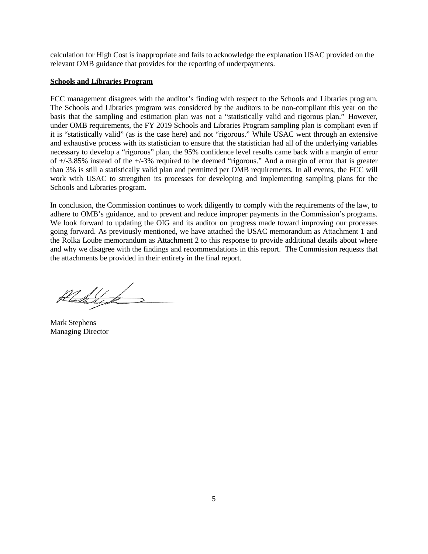calculation for High Cost is inappropriate and fails to acknowledge the explanation USAC provided on the relevant OMB guidance that provides for the reporting of underpayments.

#### **Schools and Libraries Program**

FCC management disagrees with the auditor's finding with respect to the Schools and Libraries program. The Schools and Libraries program was considered by the auditors to be non-compliant this year on the basis that the sampling and estimation plan was not a "statistically valid and rigorous plan." However, under OMB requirements, the FY 2019 Schools and Libraries Program sampling plan is compliant even if it is "statistically valid" (as is the case here) and not "rigorous." While USAC went through an extensive and exhaustive process with its statistician to ensure that the statistician had all of the underlying variables necessary to develop a "rigorous" plan, the 95% confidence level results came back with a margin of error of +/-3.85% instead of the +/-3% required to be deemed "rigorous." And a margin of error that is greater than 3% is still a statistically valid plan and permitted per OMB requirements. In all events, the FCC will work with USAC to strengthen its processes for developing and implementing sampling plans for the Schools and Libraries program.

In conclusion, the Commission continues to work diligently to comply with the requirements of the law, to adhere to OMB's guidance, and to prevent and reduce improper payments in the Commission's programs. We look forward to updating the OIG and its auditor on progress made toward improving our processes going forward. As previously mentioned, we have attached the USAC memorandum as Attachment 1 and the Rolka Loube memorandum as Attachment 2 to this response to provide additional details about where and why we disagree with the findings and recommendations in this report. The Commission requests that the attachments be provided in their entirety in the final report.

Kladelyd

Mark Stephens Managing Director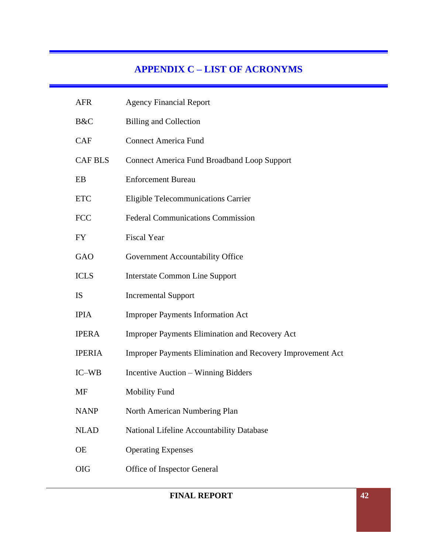# **APPENDIX C – LIST OF ACRONYMS**

| <b>AFR</b>     | <b>Agency Financial Report</b>                                    |
|----------------|-------------------------------------------------------------------|
| B&C            | <b>Billing and Collection</b>                                     |
| <b>CAF</b>     | <b>Connect America Fund</b>                                       |
| <b>CAF BLS</b> | <b>Connect America Fund Broadband Loop Support</b>                |
| EB             | <b>Enforcement Bureau</b>                                         |
| <b>ETC</b>     | <b>Eligible Telecommunications Carrier</b>                        |
| <b>FCC</b>     | <b>Federal Communications Commission</b>                          |
| <b>FY</b>      | <b>Fiscal Year</b>                                                |
| GAO            | Government Accountability Office                                  |
| <b>ICLS</b>    | <b>Interstate Common Line Support</b>                             |
| <b>IS</b>      | <b>Incremental Support</b>                                        |
| <b>IPIA</b>    | <b>Improper Payments Information Act</b>                          |
| <b>IPERA</b>   | <b>Improper Payments Elimination and Recovery Act</b>             |
| <b>IPERIA</b>  | <b>Improper Payments Elimination and Recovery Improvement Act</b> |
| IC-WB          | Incentive Auction - Winning Bidders                               |
| <b>MF</b>      | <b>Mobility Fund</b>                                              |
| <b>NANP</b>    | North American Numbering Plan                                     |
| <b>NLAD</b>    | National Lifeline Accountability Database                         |
| <b>OE</b>      | <b>Operating Expenses</b>                                         |
| <b>OIG</b>     | Office of Inspector General                                       |